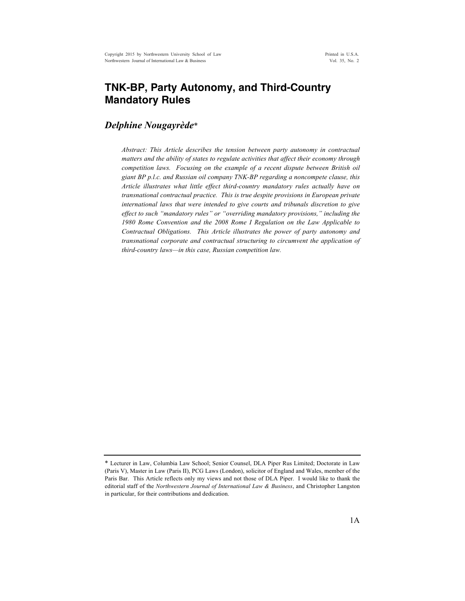# **TNK-BP, Party Autonomy, and Third-Country Mandatory Rules**

# *Delphine Nougayrède*\*

*Abstract: This Article describes the tension between party autonomy in contractual matters and the ability of states to regulate activities that affect their economy through competition laws. Focusing on the example of a recent dispute between British oil giant BP p.l.c. and Russian oil company TNK-BP regarding a noncompete clause, this Article illustrates what little effect third-country mandatory rules actually have on transnational contractual practice. This is true despite provisions in European private international laws that were intended to give courts and tribunals discretion to give effect to such "mandatory rules" or "overriding mandatory provisions," including the 1980 Rome Convention and the 2008 Rome I Regulation on the Law Applicable to Contractual Obligations. This Article illustrates the power of party autonomy and transnational corporate and contractual structuring to circumvent the application of third-country laws—in this case, Russian competition law.*

<sup>\*</sup> Lecturer in Law, Columbia Law School; Senior Counsel, DLA Piper Rus Limited; Doctorate in Law (Paris V), Master in Law (Paris II), PCG Laws (London), solicitor of England and Wales, member of the Paris Bar. This Article reflects only my views and not those of DLA Piper. I would like to thank the editorial staff of the *Northwestern Journal of International Law & Business*, and Christopher Langston in particular, for their contributions and dedication.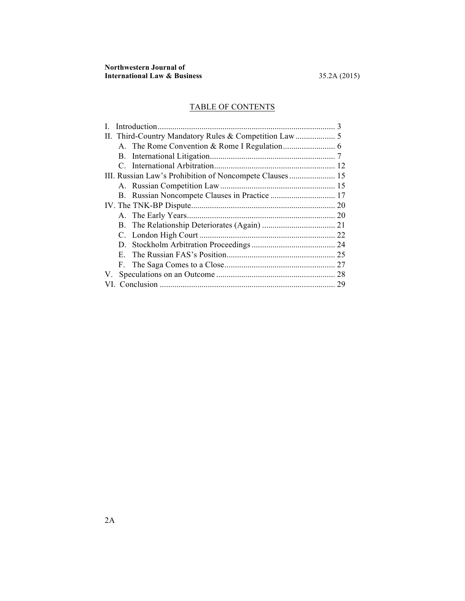# TABLE OF CONTENTS

|    |    | $\mathcal{R}$ |
|----|----|---------------|
|    |    |               |
|    |    |               |
|    |    |               |
|    |    |               |
|    |    |               |
|    |    |               |
|    |    |               |
|    |    |               |
|    |    |               |
|    |    |               |
|    |    |               |
|    |    |               |
|    | E. |               |
|    | F. |               |
| V. |    |               |
|    |    | 29            |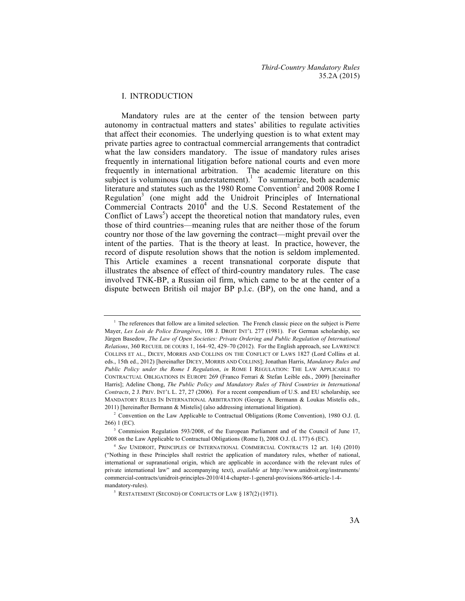### I. INTRODUCTION

Mandatory rules are at the center of the tension between party autonomy in contractual matters and states' abilities to regulate activities that affect their economies. The underlying question is to what extent may private parties agree to contractual commercial arrangements that contradict what the law considers mandatory. The issue of mandatory rules arises frequently in international litigation before national courts and even more frequently in international arbitration. The academic literature on this subject is voluminous (an understatement).<sup>1</sup> To summarize, both academic literature and statutes such as the 1980 Rome Convention<sup>2</sup> and 2008 Rome I Regulation<sup>3</sup> (one might add the Unidroit Principles of International Commercial Contracts  $2010<sup>4</sup>$  and the U.S. Second Restatement of the Conflict of Laws<sup>5</sup>) accept the theoretical notion that mandatory rules, even those of third countries—meaning rules that are neither those of the forum country nor those of the law governing the contract—might prevail over the intent of the parties. That is the theory at least. In practice, however, the record of dispute resolution shows that the notion is seldom implemented. This Article examines a recent transnational corporate dispute that illustrates the absence of effect of third-country mandatory rules. The case involved TNK-BP, a Russian oil firm, which came to be at the center of a dispute between British oil major BP p.l.c. (BP), on the one hand, and a

 $<sup>1</sup>$  The references that follow are a limited selection. The French classic piece on the subject is Pierre</sup> Mayer, *Les Lois de Police Etrangères*, 108 J. DROIT INT'L 277 (1981). For German scholarship, see Jürgen Basedow, *The Law of Open Societies: Private Ordering and Public Regulation of International Relations*, 360 RECUEIL DE COURS 1, 164–92, 429–70 (2012). For the English approach, see LAWRENCE COLLINS ET AL., DICEY, MORRIS AND COLLINS ON THE CONFLICT OF LAWS 1827 (Lord Collins et al. eds., 15th ed., 2012) [hereinafter DICEY, MORRIS AND COLLINS]; Jonathan Harris, *Mandatory Rules and Public Policy under the Rome I Regulation*, *in* ROME I REGULATION: THE LAW APPLICABLE TO CONTRACTUAL OBLIGATIONS IN EUROPE 269 (Franco Ferrari & Stefan Leible eds., 2009) [hereinafter Harris]; Adeline Chong, *The Public Policy and Mandatory Rules of Third Countries in International Contracts*, 2 J. PRIV. INT'L L. 27, 27 (2006). For a recent compendium of U.S. and EU scholarship, see MANDATORY RULES IN INTERNATIONAL ARBITRATION (George A. Bermann & Loukas Mistelis eds., 2011) [hereinafter Bermann & Mistelis] (also addressing international litigation).

<sup>2</sup> Convention on the Law Applicable to Contractual Obligations (Rome Convention), 1980 O.J. (L 266) 1 (EC).

<sup>&</sup>lt;sup>3</sup> Commission Regulation 593/2008, of the European Parliament and of the Council of June 17, 2008 on the Law Applicable to Contractual Obligations (Rome I), 2008 O.J. (L 177) 6 (EC).

<sup>4</sup> *See* UNIDROIT, PRINCIPLES OF INTERNATIONAL COMMERCIAL CONTRACTS 12 art. 1(4) (2010) ("Nothing in these Principles shall restrict the application of mandatory rules, whether of national, international or supranational origin, which are applicable in accordance with the relevant rules of private international law" and accompanying text), *available at* http://www.unidroit.org/instruments/ commercial-contracts/unidroit-principles-2010/414-chapter-1-general-provisions/866-article-1-4 mandatory-rules).

 $5$  RESTATEMENT (SECOND) OF CONFLICTS OF LAW  $\S$  187(2) (1971).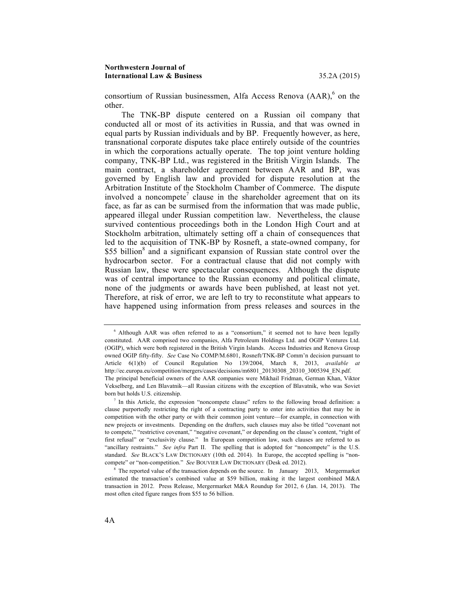consortium of Russian businessmen, Alfa Access Renova  $(AAR)$ <sup>6</sup> on the other.

The TNK-BP dispute centered on a Russian oil company that conducted all or most of its activities in Russia, and that was owned in equal parts by Russian individuals and by BP. Frequently however, as here, transnational corporate disputes take place entirely outside of the countries in which the corporations actually operate. The top joint venture holding company, TNK-BP Ltd., was registered in the British Virgin Islands. The main contract, a shareholder agreement between AAR and BP, was governed by English law and provided for dispute resolution at the Arbitration Institute of the Stockholm Chamber of Commerce. The dispute involved a noncompete<sup>7</sup> clause in the shareholder agreement that on its face, as far as can be surmised from the information that was made public, appeared illegal under Russian competition law. Nevertheless, the clause survived contentious proceedings both in the London High Court and at Stockholm arbitration, ultimately setting off a chain of consequences that led to the acquisition of TNK-BP by Rosneft, a state-owned company, for \$55 billion<sup>8</sup> and a significant expansion of Russian state control over the hydrocarbon sector. For a contractual clause that did not comply with Russian law, these were spectacular consequences. Although the dispute was of central importance to the Russian economy and political climate, none of the judgments or awards have been published, at least not yet. Therefore, at risk of error, we are left to try to reconstitute what appears to have happened using information from press releases and sources in the

<sup>6</sup> Although AAR was often referred to as a "consortium," it seemed not to have been legally constituted. AAR comprised two companies, Alfa Petroleum Holdings Ltd. and OGIP Ventures Ltd. (OGIP), which were both registered in the British Virgin Islands. Access Industries and Renova Group owned OGIP fifty-fifty. *See* Case No COMP/M.6801, Rosneft/TNK-BP Comm'n decision pursuant to Article 6(1)(b) of Council Regulation No 139/2004, March 8, 2013, *available at* http://ec.europa.eu/competition/mergers/cases/decisions/m6801\_20130308\_20310\_3005394\_EN.pdf. The principal beneficial owners of the AAR companies were Mikhail Fridman, German Khan, Viktor Vekselberg, and Len Blavatnik—all Russian citizens with the exception of Blavatnik, who was Soviet born but holds U.S. citizenship.

 $<sup>7</sup>$  In this Article, the expression "noncompete clause" refers to the following broad definition: a</sup> clause purportedly restricting the right of a contracting party to enter into activities that may be in competition with the other party or with their common joint venture—for example, in connection with new projects or investments. Depending on the drafters, such clauses may also be titled "covenant not to compete," "restrictive covenant," "negative covenant," or depending on the clause's content, "right of first refusal" or "exclusivity clause." In European competition law, such clauses are referred to as "ancillary restraints." *See infra* Part II. The spelling that is adopted for "noncompete" is the U.S. standard. *See* BLACK'S LAW DICTIONARY (10th ed. 2014). In Europe, the accepted spelling is "noncompete" or "non-competition." *See* BOUVIER LAW DICTIONARY (Desk ed. 2012).

<sup>&</sup>lt;sup>8</sup> The reported value of the transaction depends on the source. In January 2013, Mergermarket estimated the transaction's combined value at \$59 billion, making it the largest combined M&A transaction in 2012. Press Release, Mergermarket M&A Roundup for 2012, 6 (Jan. 14, 2013). The most often cited figure ranges from \$55 to 56 billion.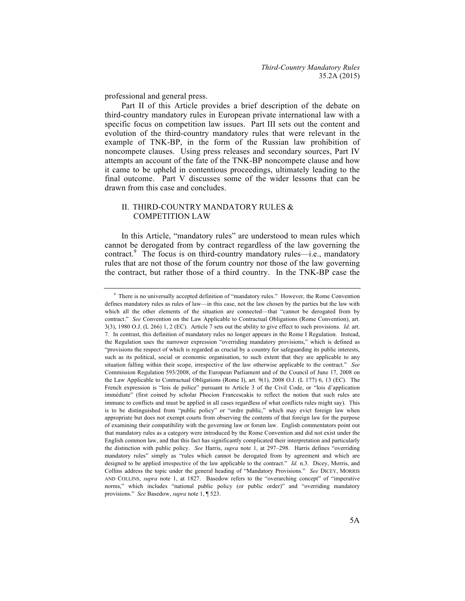professional and general press.

Part II of this Article provides a brief description of the debate on third-country mandatory rules in European private international law with a specific focus on competition law issues. Part III sets out the content and evolution of the third-country mandatory rules that were relevant in the example of TNK-BP, in the form of the Russian law prohibition of noncompete clauses. Using press releases and secondary sources, Part IV attempts an account of the fate of the TNK-BP noncompete clause and how it came to be upheld in contentious proceedings, ultimately leading to the final outcome. Part V discusses some of the wider lessons that can be drawn from this case and concludes.

# II. THIRD-COUNTRY MANDATORY RULES & COMPETITION LAW

In this Article, "mandatory rules" are understood to mean rules which cannot be derogated from by contract regardless of the law governing the contract.<sup>9</sup> The focus is on third-country mandatory rules—i.e., mandatory rules that are not those of the forum country nor those of the law governing the contract, but rather those of a third country. In the TNK-BP case the

<sup>9</sup> There is no universally accepted definition of "mandatory rules." However, the Rome Convention defines mandatory rules as rules of law—in this case, not the law chosen by the parties but the law with which all the other elements of the situation are connected—that "cannot be derogated from by contract." *See* Convention on the Law Applicable to Contractual Obligations (Rome Convention), art. 3(3), 1980 O.J. (L 266) 1, 2 (EC). Article 7 sets out the ability to give effect to such provisions. *Id.* art. 7. In contrast, this definition of mandatory rules no longer appears in the Rome I Regulation. Instead, the Regulation uses the narrower expression "overriding mandatory provisions," which is defined as "provisions the respect of which is regarded as crucial by a country for safeguarding its public interests, such as its political, social or economic organisation, to such extent that they are applicable to any situation falling within their scope, irrespective of the law otherwise applicable to the contract." *See*  Commission Regulation 593/2008, of the European Parliament and of the Council of June 17, 2008 on the Law Applicable to Contractual Obligations (Rome I), art. 9(1), 2008 O.J. (L 177) 6, 13 (EC). The French expression is "lois de police" pursuant to Article 3 of the Civil Code, or "lois d'application immédiate" (first coined by scholar Phocion Francescakis to reflect the notion that such rules are immune to conflicts and must be applied in all cases regardless of what conflicts rules might say). This is to be distinguished from "public policy" or "ordre public," which may evict foreign law when appropriate but does not exempt courts from observing the contents of that foreign law for the purpose of examining their compatibility with the governing law or forum law. English commentators point out that mandatory rules as a category were introduced by the Rome Convention and did not exist under the English common law, and that this fact has significantly complicated their interpretation and particularly the distinction with public policy. *See* Harris, *supra* note 1, at 297–298. Harris defines "overriding mandatory rules" simply as "rules which cannot be derogated from by agreement and which are designed to be applied irrespective of the law applicable to the contract." *Id.* n.3. Dicey, Morris, and Collins address the topic under the general heading of "Mandatory Provisions." *See* DICEY, MORRIS AND COLLINS, *supra* note 1, at 1827. Basedow refers to the "overarching concept" of "imperative norms," which includes "national public policy (or public order)" and "overriding mandatory provisions." *See* Basedow, *supra* note 1, ¶ 523.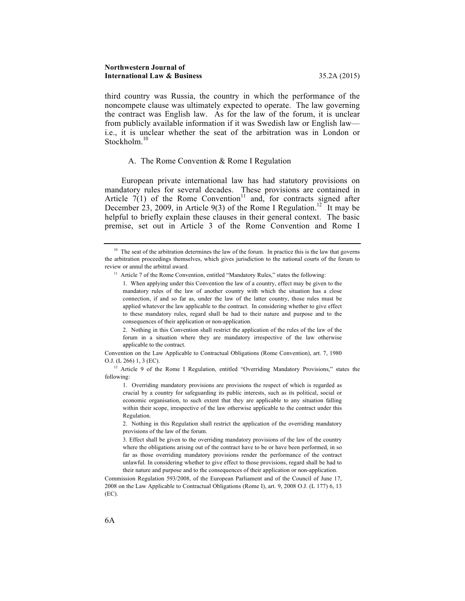third country was Russia, the country in which the performance of the noncompete clause was ultimately expected to operate. The law governing the contract was English law. As for the law of the forum, it is unclear from publicly available information if it was Swedish law or English law i.e., it is unclear whether the seat of the arbitration was in London or Stockholm. 10

#### A. The Rome Convention & Rome I Regulation

European private international law has had statutory provisions on mandatory rules for several decades. These provisions are contained in Article  $7(1)$  of the Rome Convention<sup>11</sup> and, for contracts signed after December 23, 2009, in Article 9(3) of the Rome I Regulation.<sup>12</sup> It may be helpful to briefly explain these clauses in their general context. The basic premise, set out in Article 3 of the Rome Convention and Rome I

2. Nothing in this Convention shall restrict the application of the rules of the law of the forum in a situation where they are mandatory irrespective of the law otherwise applicable to the contract.

Convention on the Law Applicable to Contractual Obligations (Rome Convention), art. 7, 1980 O.J. (L 266) 1, 3 (EC).

<sup>12</sup> Article 9 of the Rome I Regulation, entitled "Overriding Mandatory Provisions," states the following:

1. Overriding mandatory provisions are provisions the respect of which is regarded as crucial by a country for safeguarding its public interests, such as its political, social or economic organisation, to such extent that they are applicable to any situation falling within their scope, irrespective of the law otherwise applicable to the contract under this Regulation.

2. Nothing in this Regulation shall restrict the application of the overriding mandatory provisions of the law of the forum.

3. Effect shall be given to the overriding mandatory provisions of the law of the country where the obligations arising out of the contract have to be or have been performed, in so far as those overriding mandatory provisions render the performance of the contract unlawful. In considering whether to give effect to those provisions, regard shall be had to their nature and purpose and to the consequences of their application or non-application.

Commission Regulation 593/2008, of the European Parliament and of the Council of June 17, 2008 on the Law Applicable to Contractual Obligations (Rome I), art. 9, 2008 O.J. (L 177) 6, 13 (EC).

 $10$  The seat of the arbitration determines the law of the forum. In practice this is the law that governs the arbitration proceedings themselves, which gives jurisdiction to the national courts of the forum to review or annul the arbitral award. 11 Article 7 of the Rome Convention, entitled "Mandatory Rules," states the following:

<sup>1.</sup> When applying under this Convention the law of a country, effect may be given to the mandatory rules of the law of another country with which the situation has a close connection, if and so far as, under the law of the latter country, those rules must be applied whatever the law applicable to the contract. In considering whether to give effect to these mandatory rules, regard shall be had to their nature and purpose and to the consequences of their application or non-application.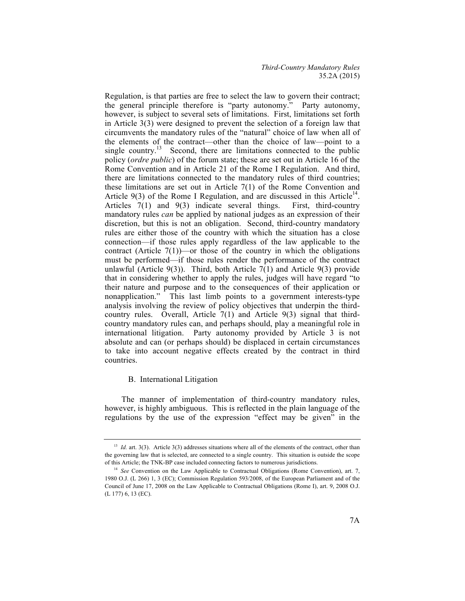Regulation, is that parties are free to select the law to govern their contract; the general principle therefore is "party autonomy." Party autonomy, however, is subject to several sets of limitations. First, limitations set forth in Article 3(3) were designed to prevent the selection of a foreign law that circumvents the mandatory rules of the "natural" choice of law when all of the elements of the contract—other than the choice of law—point to a single country.<sup>13</sup> Second, there are limitations connected to the public policy (*ordre public*) of the forum state; these are set out in Article 16 of the Rome Convention and in Article 21 of the Rome I Regulation. And third, there are limitations connected to the mandatory rules of third countries; these limitations are set out in Article 7(1) of the Rome Convention and Article  $9(3)$  of the Rome I Regulation, and are discussed in this Article<sup>14</sup>. Articles 7(1) and 9(3) indicate several things. First, third-country mandatory rules *can* be applied by national judges as an expression of their discretion, but this is not an obligation. Second, third-country mandatory rules are either those of the country with which the situation has a close connection—if those rules apply regardless of the law applicable to the contract (Article  $7(1)$ )—or those of the country in which the obligations must be performed—if those rules render the performance of the contract unlawful (Article 9(3)). Third, both Article 7(1) and Article 9(3) provide that in considering whether to apply the rules, judges will have regard "to their nature and purpose and to the consequences of their application or nonapplication." This last limb points to a government interests-type analysis involving the review of policy objectives that underpin the thirdcountry rules. Overall, Article 7(1) and Article 9(3) signal that thirdcountry mandatory rules can, and perhaps should, play a meaningful role in international litigation. Party autonomy provided by Article 3 is not absolute and can (or perhaps should) be displaced in certain circumstances to take into account negative effects created by the contract in third countries.

# B. International Litigation

The manner of implementation of third-country mandatory rules, however, is highly ambiguous. This is reflected in the plain language of the regulations by the use of the expression "effect may be given" in the

<sup>&</sup>lt;sup>13</sup> *Id.* art. 3(3). Article 3(3) addresses situations where all of the elements of the contract, other than the governing law that is selected, are connected to a single country. This situation is outside the scope of this Article; the TNK-BP case included connecting factors to numerous jurisdictions.

<sup>14</sup> *See* Convention on the Law Applicable to Contractual Obligations (Rome Convention), art. 7, 1980 O.J. (L 266) 1, 3 (EC); Commission Regulation 593/2008, of the European Parliament and of the Council of June 17, 2008 on the Law Applicable to Contractual Obligations (Rome I), art. 9, 2008 O.J. (L 177) 6, 13 (EC).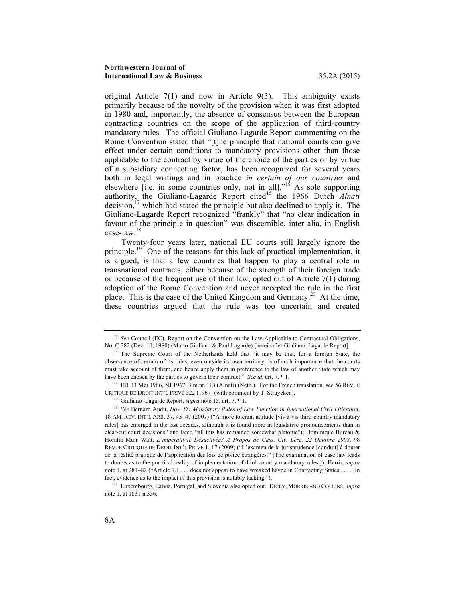#### **Northwestern Journal of International Law & Business** 35.2A (2015)

original Article 7(1) and now in Article 9(3). This ambiguity exists primarily because of the novelty of the provision when it was first adopted in 1980 and, importantly, the absence of consensus between the European contracting countries on the scope of the application of third-country mandatory rules. The official Giuliano-Lagarde Report commenting on the Rome Convention stated that "[t]he principle that national courts can give effect under certain conditions to mandatory provisions other than those applicable to the contract by virtue of the choice of the parties or by virtue of a subsidiary connecting factor, has been recognized for several years both in legal writings and in practice *in certain of our countries* and elsewhere  $\overline{[i.e.]}$  in some countries only, not in all].<sup>"15</sup> As sole supporting authority, the Giuliano-Lagarde Report cited<sup>16</sup> the 1966 Dutch *Alnati* decision,  $17$  which had stated the principle but also declined to apply it. The Giuliano-Lagarde Report recognized "frankly" that "no clear indication in favour of the principle in question" was discernible, inter alia, in English case-law.<sup>18</sup>

Twenty-four years later, national EU courts still largely ignore the principle.<sup>19</sup> One of the reasons for this lack of practical implementation, it is argued, is that a few countries that happen to play a central role in transnational contracts, either because of the strength of their foreign trade or because of the frequent use of their law, opted out of Article  $7(1)$  during adoption of the Rome Convention and never accepted the rule in the first place. This is the case of the United Kingdom and  $\overline{G}$  Cermany.<sup>20</sup> At the time, these countries argued that the rule was too uncertain and created

<sup>&</sup>lt;sup>15</sup> See Council (EC), Report on the Convention on the Law Applicable to Contractual Obligations, No. C 282 (Dec. 10, 1980) (Mario Giuliano & Paul Lagarde) [hereinafter Giuliano–Lagarde Report]. 16 The Supreme Court of the Netherlands held that "it may be that, for a foreign State, the

observance of certain of its rules, even outside its own territory, is of such importance that the courts must take account of them, and hence apply them in preference to the law of another State which may have been chosen by the parties to govern their contract." *See id.* art. 7, ¶ 1.

<sup>&</sup>lt;sup>17</sup> HR 13 Mei 1966, NJ 1967, 3 m.nt. HB (Alnati) (Neth.). For the French translation, see 56 REVUE CRITIQUE DE DROIT INT'L PRIVÉ 522 (1967) (with comment by T. Struycken).

<sup>18</sup> Giuliano–Lagarde Report, *supra* note 15, art. 7, ¶ 1.

<sup>19</sup> *See* Bernard Audit, *How Do Mandatory Rules of Law Function in International Civil Litigation*, 18 AM. REV. INT'L ARB. 37, 45–47 (2007) ("A more tolerant attitude [vis-à-vis third-country mandatory rules] has emerged in the last decades, although it is found more in legislative pronouncements than in clear-cut court decisions" and later, "all this has remained somewhat platonic"); Dominique Bureau & Horatia Muir Watt, *L'impérativité Désactivée? A Propos de Cass. Civ. Lère, 22 Octobre 2008*, 98 REVUE CRITIQUE DE DROIT INT'L PRIVE 1, 17 (2009) ("L'examen de la jurisprudence [conduit] à douter de la réalité pratique de l'application des lois de police étrangères." [The examination of case law leads to doubts as to the practical reality of implementation of third-country mandatory rules.]); Harris, *supra*  note 1, at 281–82 ("Article 7.1 . . . does not appear to have wreaked havoc in Contracting States . . . . In fact, evidence as to the impact of this provision is notably lacking.").

<sup>20</sup> Luxembourg, Latvia, Portugal, and Slovenia also opted out. DICEY, MORRIS AND COLLINS, *supra* note 1, at 1831 n.336.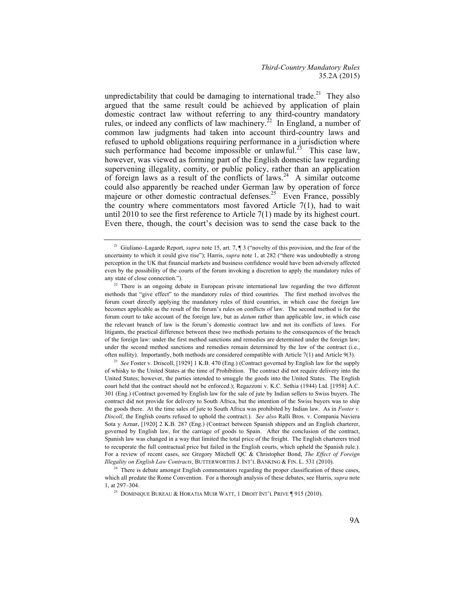unpredictability that could be damaging to international trade.<sup>21</sup> They also argued that the same result could be achieved by application of plain domestic contract law without referring to any third-country mandatory rules, or indeed any conflicts of law machinery.<sup>22</sup> In England, a number of common law judgments had taken into account third-country laws and refused to uphold obligations requiring performance in a jurisdiction where such performance had become impossible or unlawful.<sup>23</sup> This case law, however, was viewed as forming part of the English domestic law regarding supervening illegality, comity, or public policy, rather than an application of foreign laws as a result of the conflicts of laws. <sup>24</sup> A similar outcome could also apparently be reached under German law by operation of force majeure or other domestic contractual defenses.<sup>25</sup> Even France, possibly the country where commentators most favored Article 7(1), had to wait until 2010 to see the first reference to Article 7(1) made by its highest court. Even there, though, the court's decision was to send the case back to the

<sup>23</sup> *See* Foster v. Driscoll, [1929] 1 K.B. 470 (Eng.) (Contract governed by English law for the supply of whisky to the United States at the time of Prohibition. The contract did not require delivery into the United States; however, the parties intended to smuggle the goods into the United States. The English court held that the contract should not be enforced.); Regazzoni v. K.C. Sethia (1944) Ltd. [1958] A.C. 301 (Eng.) (Contract governed by English law for the sale of jute by Indian sellers to Swiss buyers. The contract did not provide for delivery to South Africa, but the intention of the Swiss buyers was to ship the goods there. At the time sales of jute to South Africa was prohibited by Indian law. As in *Foster v. Discoll*, the English courts refused to uphold the contract.). *See also* Ralli Bros. v. Compania Naviera Sota y Aznar, [1920] 2 K.B. 287 (Eng.) (Contract between Spanish shippers and an English charterer, governed by English law, for the carriage of goods to Spain. After the conclusion of the contract, Spanish law was changed in a way that limited the total price of the freight. The English charterers tried to recuperate the full contractual price but failed in the English courts, which upheld the Spanish rule.). For a review of recent cases, see Gregory Mitchell QC & Christopher Bond, *The Effect of Foreign Illegality on English Law Contracts*, BUTTERWORTHS J. INT'L BANKING & FIN. L. 531 (2010).

<sup>&</sup>lt;sup>21</sup> Giuliano–Lagarde Report, *supra* note 15, art. 7, ¶ 3 ("novelty of this provision, and the fear of the uncertainty to which it could give rise"); Harris, *supra* note 1, at 282 ("there was undoubtedly a strong perception in the UK that financial markets and business confidence would have been adversely affected even by the possibility of the courts of the forum invoking a discretion to apply the mandatory rules of any state of close connection.").

 $22$  There is an ongoing debate in European private international law regarding the two different methods that "give effect" to the mandatory rules of third countries. The first method involves the forum court directly applying the mandatory rules of third countries, in which case the foreign law becomes applicable as the result of the forum's rules on conflicts of law. The second method is for the forum court to take account of the foreign law, but as *datum* rather than applicable law, in which case the relevant branch of law is the forum's domestic contract law and not its conflicts of laws. For litigants, the practical difference between these two methods pertains to the consequences of the breach of the foreign law: under the first method sanctions and remedies are determined under the foreign law; under the second method sanctions and remedies remain determined by the law of the contract (i.e., often nullity). Importantly, both methods are considered compatible with Article 7(1) and Article 9(3).

<sup>&</sup>lt;sup>24</sup> There is debate amongst English commentators regarding the proper classification of these cases, which all predate the Rome Convention. For a thorough analysis of these debates, see Harris, *supra* note 1, at 297–304.

<sup>&</sup>lt;sup>25</sup> DOMINIQUE BUREAU & HORATIA MUIR WATT, 1 DROIT INT'L PRIVE  $\P$  915 (2010).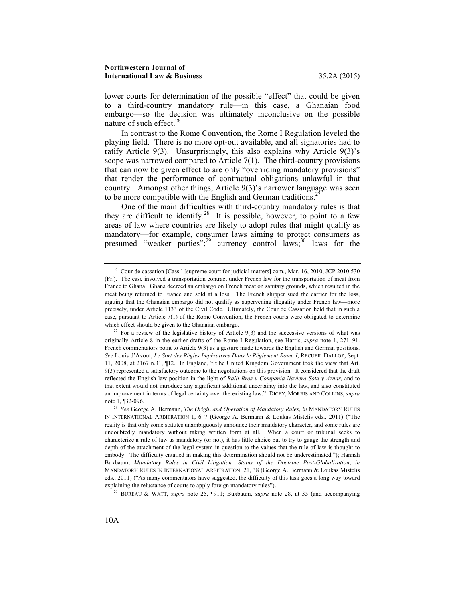lower courts for determination of the possible "effect" that could be given to a third-country mandatory rule—in this case, a Ghanaian food embargo—so the decision was ultimately inconclusive on the possible nature of such effect.<sup>26</sup>

In contrast to the Rome Convention, the Rome I Regulation leveled the playing field. There is no more opt-out available, and all signatories had to ratify Article 9(3). Unsurprisingly, this also explains why Article 9(3)'s scope was narrowed compared to Article 7(1). The third-country provisions that can now be given effect to are only "overriding mandatory provisions" that render the performance of contractual obligations unlawful in that country. Amongst other things, Article 9(3)'s narrower language was seen to be more compatible with the English and German traditions.<sup>27</sup>

One of the main difficulties with third-country mandatory rules is that they are difficult to identify.<sup>28</sup> It is possible, however, to point to a few areas of law where countries are likely to adopt rules that might qualify as mandatory—for example, consumer laws aiming to protect consumers as presumed "weaker parties";<sup>29</sup> currency control laws;<sup>30</sup> laws for the

<sup>&</sup>lt;sup>26</sup> Cour de cassation [Cass.] [supreme court for judicial matters] com., Mar. 16, 2010, JCP 2010 530 (Fr.). The case involved a transportation contract under French law for the transportation of meat from France to Ghana. Ghana decreed an embargo on French meat on sanitary grounds, which resulted in the meat being returned to France and sold at a loss. The French shipper sued the carrier for the loss, arguing that the Ghanaian embargo did not qualify as supervening illegality under French law—more precisely, under Article 1133 of the Civil Code. Ultimately, the Cour de Cassation held that in such a case, pursuant to Article 7(1) of the Rome Convention, the French courts were obligated to determine which effect should be given to the Ghanaian embargo.

 $27$  For a review of the legislative history of Article 9(3) and the successive versions of what was originally Article 8 in the earlier drafts of the Rome I Regulation, see Harris, *supra* note 1, 271–91. French commentators point to Article 9(3) as a gesture made towards the English and German positions. *See* Louis d'Avout, *Le Sort des Règles Impératives Dans le Règlement Rome I*, RECUEIL DALLOZ, Sept. 11, 2008, at 2167 n.31, ¶12. In England, "[t]he United Kingdom Government took the view that Art. 9(3) represented a satisfactory outcome to the negotiations on this provision. It considered that the draft reflected the English law position in the light of *Ralli Bros v Compania Naviera Sota y Aznar,* and to that extent would not introduce any significant additional uncertainty into the law, and also constituted an improvement in terms of legal certainty over the existing law." DICEY, MORRIS AND COLLINS, *supra*  note 1, ¶32-096. 28 *See* George A. Bermann, *The Origin and Operation of Mandatory Rules*, *in* MANDATORY RULES

IN INTERNATIONAL ARBITRATION 1, 6–7 (George A. Bermann & Loukas Mistelis eds., 2011) ("The reality is that only some statutes unambiguously announce their mandatory character, and some rules are undoubtedly mandatory without taking written form at all. When a court or tribunal seeks to characterize a rule of law as mandatory (or not), it has little choice but to try to gauge the strength and depth of the attachment of the legal system in question to the values that the rule of law is thought to embody. The difficulty entailed in making this determination should not be underestimated."); Hannah Buxbaum, *Mandatory Rules in Civil Litigation: Status of the Doctrine Post-Globalization*, *in* MANDATORY RULES IN INTERNATIONAL ARBITRATION, 21, 38 (George A. Bermann & Loukas Mistelis eds., 2011) ("As many commentators have suggested, the difficulty of this task goes a long way toward explaining the reluctance of courts to apply foreign mandatory rules"). 29 BUREAU & WATT, *supra* note 25, ¶911; Buxbaum, *supra* note 28, at 35 (and accompanying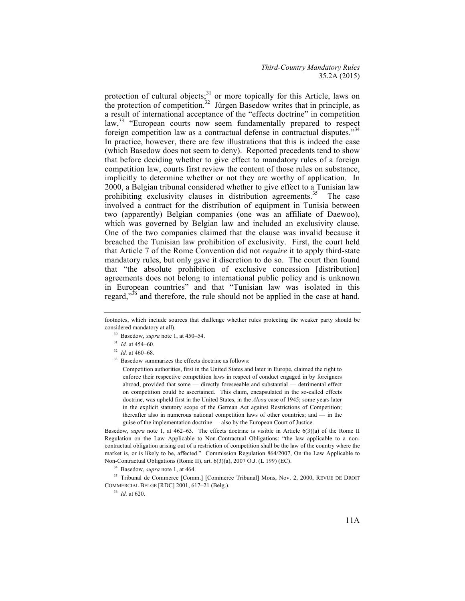protection of cultural objects;<sup>31</sup> or more topically for this Article, laws on the protection of competition.<sup>32</sup> Jürgen Basedow writes that in principle, as a result of international acceptance of the "effects doctrine" in competition law,<sup>33</sup> "European courts now seem fundamentally prepared to respect foreign competition law as a contractual defense in contractual disputes."<sup>34</sup> In practice, however, there are few illustrations that this is indeed the case (which Basedow does not seem to deny). Reported precedents tend to show that before deciding whether to give effect to mandatory rules of a foreign competition law, courts first review the content of those rules on substance, implicitly to determine whether or not they are worthy of application. In 2000, a Belgian tribunal considered whether to give effect to a Tunisian law prohibiting exclusivity clauses in distribution agreements.<sup>35</sup> The case involved a contract for the distribution of equipment in Tunisia between two (apparently) Belgian companies (one was an affiliate of Daewoo), which was governed by Belgian law and included an exclusivity clause. One of the two companies claimed that the clause was invalid because it breached the Tunisian law prohibition of exclusivity. First, the court held that Article 7 of the Rome Convention did not *require* it to apply third-state mandatory rules, but only gave it discretion to do so. The court then found that "the absolute prohibition of exclusive concession [distribution] agreements does not belong to international public policy and is unknown in European countries" and that "Tunisian law was isolated in this regard,"<sup>36</sup> and therefore, the rule should not be applied in the case at hand.

- <sup>30</sup> Basedow, *supra* note 1, at 450–54.
- <sup>31</sup> *Id.* at 454–60.
- <sup>32</sup> *Id.* at 460–68.
- <sup>33</sup> Basedow summarizes the effects doctrine as follows:

Competition authorities, first in the United States and later in Europe, claimed the right to enforce their respective competition laws in respect of conduct engaged in by foreigners abroad, provided that some — directly foreseeable and substantial — detrimental effect on competition could be ascertained. This claim, encapsulated in the so-called effects doctrine, was upheld first in the United States, in the *Alcoa* case of 1945; some years later in the explicit statutory scope of the German Act against Restrictions of Competition; thereafter also in numerous national competition laws of other countries; and — in the guise of the implementation doctrine — also by the European Court of Justice.

Basedow, *supra* note 1, at 462–63. The effects doctrine is visible in Article 6(3)(a) of the Rome II Regulation on the Law Applicable to Non-Contractual Obligations: "the law applicable to a noncontractual obligation arising out of a restriction of competition shall be the law of the country where the market is, or is likely to be, affected." Commission Regulation 864/2007, On the Law Applicable to Non-Contractual Obligations (Rome II), art. 6(3)(a), 2007 O.J. (L 199) (EC).

<sup>34</sup> Basedow, *supra* note 1, at 464.

<sup>35</sup> Tribunal de Commerce [Comm.] [Commerce Tribunal] Mons, Nov. 2, 2000, REVUE DE DROIT COMMERCIAL BELGE [RDC] 2001, 617–21 (Belg.).

<sup>36</sup> *Id.* at 620.

footnotes, which include sources that challenge whether rules protecting the weaker party should be considered mandatory at all).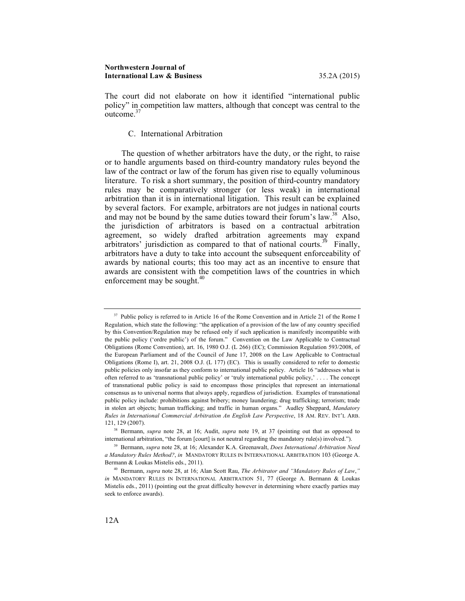The court did not elaborate on how it identified "international public policy" in competition law matters, although that concept was central to the  $\frac{1}{2}$ outcome.<sup>37</sup>

C. International Arbitration

The question of whether arbitrators have the duty, or the right, to raise or to handle arguments based on third-country mandatory rules beyond the law of the contract or law of the forum has given rise to equally voluminous literature. To risk a short summary, the position of third-country mandatory rules may be comparatively stronger (or less weak) in international arbitration than it is in international litigation. This result can be explained by several factors. For example, arbitrators are not judges in national courts and may not be bound by the same duties toward their forum's law.<sup>38</sup> Also, the jurisdiction of arbitrators is based on a contractual arbitration agreement, so widely drafted arbitration agreements may expand arbitrators' jurisdiction as compared to that of national courts.<sup>39</sup> Finally, arbitrators have a duty to take into account the subsequent enforceability of awards by national courts; this too may act as an incentive to ensure that awards are consistent with the competition laws of the countries in which enforcement may be sought.<sup>40</sup>

<sup>&</sup>lt;sup>37</sup> Public policy is referred to in Article 16 of the Rome Convention and in Article 21 of the Rome I Regulation, which state the following: "the application of a provision of the law of any country specified by this Convention/Regulation may be refused only if such application is manifestly incompatible with the public policy ('ordre public') of the forum." Convention on the Law Applicable to Contractual Obligations (Rome Convention), art. 16, 1980 O.J. (L 266) (EC); Commission Regulation 593/2008, of the European Parliament and of the Council of June 17, 2008 on the Law Applicable to Contractual Obligations (Rome I), art. 21, 2008 O.J. (L 177) (EC). This is usually considered to refer to domestic public policies only insofar as they conform to international public policy. Article 16 "addresses what is often referred to as 'transnational public policy' or 'truly international public policy,' . . . . The concept of transnational public policy is said to encompass those principles that represent an international consensus as to universal norms that always apply, regardless of jurisdiction. Examples of transnational public policy include: prohibitions against bribery; money laundering; drug trafficking; terrorism; trade in stolen art objects; human trafficking; and traffic in human organs." Audley Sheppard, *Mandatory Rules in International Commercial Arbitration An English Law Perspective*, 18 AM. REV. INT'L ARB. 121, 129 (2007). 38 Bermann, *supra* note 28, at 16; Audit, *supra* note 19, at 37 (pointing out that as opposed to

international arbitration, "the forum [court] is not neutral regarding the mandatory rule(s) involved.").

<sup>39</sup> Bermann, *supra* note 28, at 16; Alexander K.A. Greenawalt, *Does International Arbitration Need a Mandatory Rules Method?*, *in* MANDATORY RULES IN INTERNATIONAL ARBITRATION 103 (George A. Bermann & Loukas Mistelis eds., 2011).

<sup>40</sup> Bermann, *supra* note 28, at 16; Alan Scott Rau, *The Arbitrator and "Mandatory Rules of Law*,*" in* MANDATORY RULES IN INTERNATIONAL ARBITRATION 51, 77 (George A. Bermann & Loukas Mistelis eds., 2011) (pointing out the great difficulty however in determining where exactly parties may seek to enforce awards).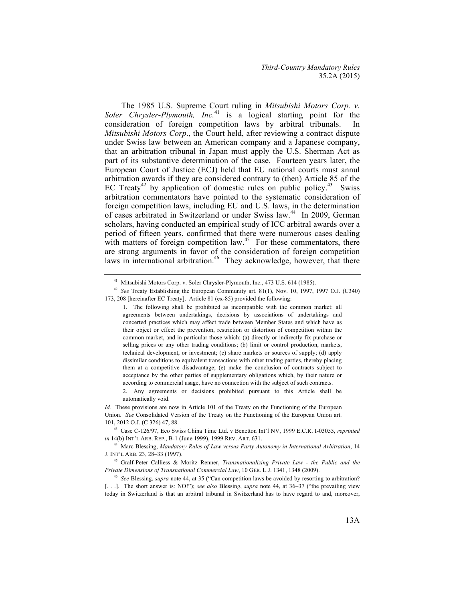The 1985 U.S. Supreme Court ruling in *Mitsubishi Motors Corp. v. Soler Chrysler-Plymouth, Inc.* <sup>41</sup> is a logical starting point for the consideration of foreign competition laws by arbitral tribunals. In *Mitsubishi Motors Corp*., the Court held, after reviewing a contract dispute under Swiss law between an American company and a Japanese company, that an arbitration tribunal in Japan must apply the U.S. Sherman Act as part of its substantive determination of the case. Fourteen years later, the European Court of Justice (ECJ) held that EU national courts must annul arbitration awards if they are considered contrary to (then) Article 85 of the EC Treaty<sup>42</sup> by application of domestic rules on public policy.<sup>43</sup> Swiss arbitration commentators have pointed to the systematic consideration of foreign competition laws, including EU and U.S. laws, in the determination of cases arbitrated in Switzerland or under Swiss law.<sup>44</sup> In 2009, German scholars, having conducted an empirical study of ICC arbitral awards over a period of fifteen years, confirmed that there were numerous cases dealing with matters of foreign competition law.<sup>45</sup> For these commentators, there are strong arguments in favor of the consideration of foreign competition laws in international arbitration.<sup>46</sup> They acknowledge, however, that there

<sup>41</sup> Mitsubishi Motors Corp. v. Soler Chrysler-Plymouth, Inc., 473 U.S. 614 (1985). 42 *See* Treaty Establishing the European Community art. 81(1), Nov. 10, 1997, 1997 O.J. (C340) 173, 208 [hereinafter EC Treaty]. Article 81 (ex-85) provided the following:

<sup>1.</sup> The following shall be prohibited as incompatible with the common market: all agreements between undertakings, decisions by associations of undertakings and concerted practices which may affect trade between Member States and which have as their object or effect the prevention, restriction or distortion of competition within the common market, and in particular those which: (a) directly or indirectly fix purchase or selling prices or any other trading conditions; (b) limit or control production, markets, technical development, or investment; (c) share markets or sources of supply; (d) apply dissimilar conditions to equivalent transactions with other trading parties, thereby placing them at a competitive disadvantage; (e) make the conclusion of contracts subject to acceptance by the other parties of supplementary obligations which, by their nature or according to commercial usage, have no connection with the subject of such contracts.

<sup>2.</sup> Any agreements or decisions prohibited pursuant to this Article shall be automatically void.

*Id.* These provisions are now in Article 101 of the Treaty on the Functioning of the European Union. *See* Consolidated Version of the Treaty on the Functioning of the European Union art. 101, 2012 O.J. (C 326) 47, 88.

<sup>43</sup> Case C-126/97, Eco Swiss China Time Ltd. v Benetton Int'l NV, 1999 E.C.R. I-03055, *reprinted in* 14(b) INT'L ARB. REP., B-1 (June 1999), 1999 REV. ART. 631.

<sup>44</sup> Marc Blessing, *Mandatory Rules of Law versus Party Autonomy in International Arbitration*, 14 J. INT'L ARB. 23, 28–33 (1997).

<sup>45</sup> Gralf-Peter Calliess & Moritz Renner, *Transnationalizing Private Law - the Public and the Private Dimensions of Transnational Commercial Law*, 10 GER. L.J. 1341, 1348 (2009).

<sup>46</sup> *See* Blessing, *supra* note 44, at 35 ("Can competition laws be avoided by resorting to arbitration? [. . .]. The short answer is: NO!"); *see also* Blessing, *supra* note 44, at 36–37 ("the prevailing view today in Switzerland is that an arbitral tribunal in Switzerland has to have regard to and, moreover,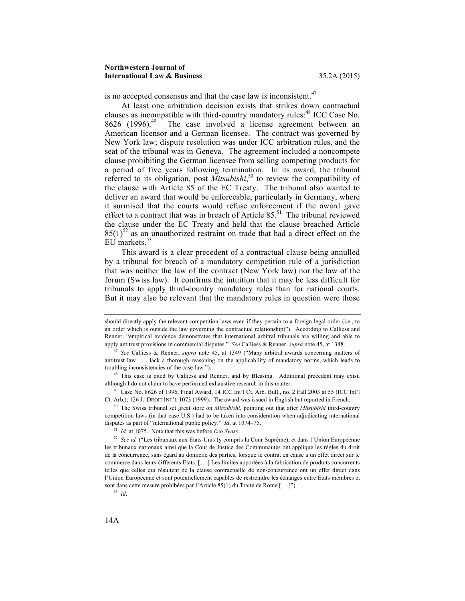#### **Northwestern Journal of International Law & Business** 35.2A (2015)

is no accepted consensus and that the case law is inconsistent.<sup>47</sup>

At least one arbitration decision exists that strikes down contractual clauses as incompatible with third-country mandatory rules:<sup>48</sup> ICC Case No. 8626 (1996).<sup>49</sup> The case involved a license agreement between an American licensor and a German licensee. The contract was governed by New York law; dispute resolution was under ICC arbitration rules, and the seat of the tribunal was in Geneva. The agreement included a noncompete clause prohibiting the German licensee from selling competing products for a period of five years following termination. In its award, the tribunal referred to its obligation, post *Mitsubishi*, <sup>50</sup> to review the compatibility of the clause with Article 85 of the EC Treaty. The tribunal also wanted to deliver an award that would be enforceable, particularly in Germany, where it surmised that the courts would refuse enforcement if the award gave effect to a contract that was in breach of Article  $85$ <sup>51</sup> The tribunal reviewed the clause under the EC Treaty and held that the clause breached Article  $85(1)^{52}$  as an unauthorized restraint on trade that had a direct effect on the EU markets.<sup>53</sup>

This award is a clear precedent of a contractual clause being annulled by a tribunal for breach of a mandatory competition rule of a jurisdiction that was neither the law of the contract (New York law) nor the law of the forum (Swiss law). It confirms the intuition that it may be less difficult for tribunals to apply third-country mandatory rules than for national courts. But it may also be relevant that the mandatory rules in question were those

should directly apply the relevant competition laws even if they pertain to a foreign legal order (i.e., to an order which is outside the law governing the contractual relationship)"). According to Calliess and Renner, "empirical evidence demonstrates that international arbitral tribunals are willing and able to apply antitrust provisions in commercial disputes." *See* Calliess & Renner, *supra* note 45, at 1348. 47 *See* Calliess & Renner, *supra* note 45, at 1349 ("Many arbitral awards concerning matters of

antitrust law . . . lack a thorough reasoning on the applicability of mandatory norms, which leads to troubling inconsistencies of the case-law.").

<sup>&</sup>lt;sup>48</sup> This case is cited by Calliess and Renner, and by Blessing. Additional precedent may exist, although I do not claim to have performed exhaustive research in this matter.

<sup>49</sup> Case No. 8626 of 1996, Final Award, 14 ICC Int'l Ct. Arb. Bull., no. 2 Fall 2003 at 55 (ICC Int'l Ct. Arb.); 126 J. DROIT INT'L 1073 (1999). The award was issued in English but reported in French.

<sup>50</sup> The Swiss tribunal set great store on *Mitsubishi*, pointing out that after *Mitsubishi* third-country competition laws (in that case U.S.) had to be taken into consideration when adjudicating international disputes as part of "international public policy." *Id.* at 1074–75.<br><sup>51</sup> *Id.* at 1075. Note that this was before *Eco Swiss*.<br><sup>52</sup> *See id.* ("Les tribunaux aux Etats-Unis (y compris la Cour Suprême), et dans l'Union Eu

les tribunaux nationaux ainsi que la Cour de Justice des Communautés ont appliqué les règles du droit de la concurrence, sans égard au domicile des parties, lorsque le contrat en cause a un effet direct sur le commerce dans leurs différents Etats. [. . .] Les limites apportées à la fabrication de produits concurrents telles que celles qui résultent de la clause contractuelle de non-concurrence ont un effet direct dans l'Union Européenne et sont potentiellement capables de restreindre les échanges entre Etats membres et sont dans cette mesure prohibées par l'Article 85(1) du Traité de Rome [. . .]").

<sup>53</sup> *Id*.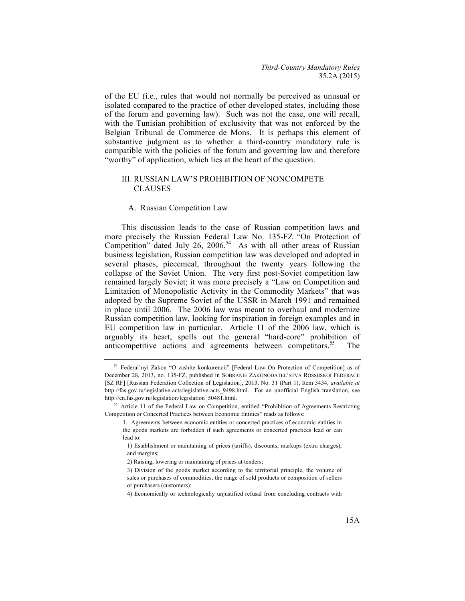of the EU (i.e., rules that would not normally be perceived as unusual or isolated compared to the practice of other developed states, including those of the forum and governing law). Such was not the case, one will recall, with the Tunisian prohibition of exclusivity that was not enforced by the Belgian Tribunal de Commerce de Mons. It is perhaps this element of substantive judgment as to whether a third-country mandatory rule is compatible with the policies of the forum and governing law and therefore "worthy" of application, which lies at the heart of the question.

# III. RUSSIAN LAW'S PROHIBITION OF NONCOMPETE **CLAUSES**

#### A. Russian Competition Law

This discussion leads to the case of Russian competition laws and more precisely the Russian Federal Law No. 135-FZ "On Protection of Competition" dated July 26, 2006.<sup>54</sup> As with all other areas of Russian business legislation, Russian competition law was developed and adopted in several phases, piecemeal, throughout the twenty years following the collapse of the Soviet Union. The very first post-Soviet competition law remained largely Soviet; it was more precisely a "Law on Competition and Limitation of Monopolistic Activity in the Commodity Markets" that was adopted by the Supreme Soviet of the USSR in March 1991 and remained in place until 2006. The 2006 law was meant to overhaul and modernize Russian competition law, looking for inspiration in foreign examples and in EU competition law in particular. Article 11 of the 2006 law, which is arguably its heart, spells out the general "hard-core" prohibition of anticompetitive actions and agreements between competitors.<sup>55</sup> The

<sup>54</sup> Federal'nyi Zakon "O zashite konkurencii" [Federal Law On Protection of Competition] as of December 28, 2013, no. 135-FZ, published in SOBRANIE ZAKONODATEL'STVA ROSSIISKOI FEDERACII [SZ RF] [Russian Federation Collection of Legislation], 2013, No. 31 (Part 1), Item 3434, *available at*  http://fas.gov.ru/legislative-acts/legislative-acts 9498.html. For an unofficial English translation, see http://en.fas.gov.ru/legislation/legislation\_50481.html.

<sup>&</sup>lt;sup>55</sup> Article 11 of the Federal Law on Competition, entitled "Prohibition of Agreements Restricting Competition or Concerted Practices between Economic Entities" reads as follows:

<sup>1.</sup> Agreements between economic entities or concerted practices of economic entities in the goods markets are forbidden if such agreements or concerted practices lead or can lead to:

<sup>1)</sup> Establishment or maintaining of prices (tariffs), discounts, markups (extra charges), and margins;

<sup>2)</sup> Raising, lowering or maintaining of prices at tenders;

<sup>3)</sup> Division of the goods market according to the territorial principle, the volume of sales or purchases of commodities, the range of sold products or composition of sellers or purchasers (customers);

<sup>4)</sup> Economically or technologically unjustified refusal from concluding contracts with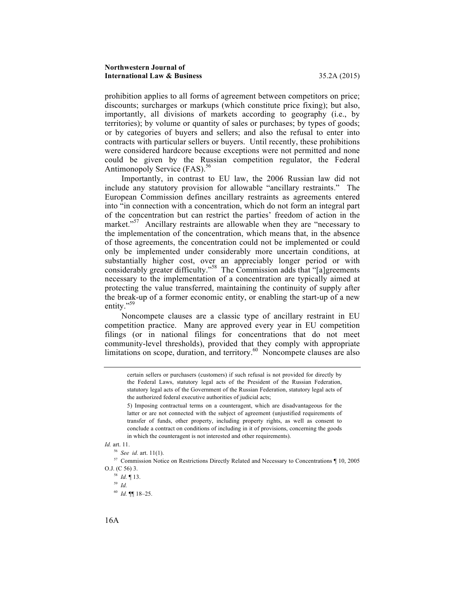prohibition applies to all forms of agreement between competitors on price; discounts; surcharges or markups (which constitute price fixing); but also, importantly, all divisions of markets according to geography (i.e., by territories); by volume or quantity of sales or purchases; by types of goods; or by categories of buyers and sellers; and also the refusal to enter into contracts with particular sellers or buyers. Until recently, these prohibitions were considered hardcore because exceptions were not permitted and none could be given by the Russian competition regulator, the Federal Antimonopoly Service (FAS). 56

Importantly, in contrast to EU law, the 2006 Russian law did not include any statutory provision for allowable "ancillary restraints." The European Commission defines ancillary restraints as agreements entered into "in connection with a concentration, which do not form an integral part of the concentration but can restrict the parties' freedom of action in the market."<sup>57</sup> Ancillary restraints are allowable when they are "necessary to the implementation of the concentration, which means that, in the absence of those agreements, the concentration could not be implemented or could only be implemented under considerably more uncertain conditions, at substantially higher cost, over an appreciably longer period or with considerably greater difficulty."<sup>58</sup> The Commission adds that "[a]greements necessary to the implementation of a concentration are typically aimed at protecting the value transferred, maintaining the continuity of supply after the break-up of a former economic entity, or enabling the start-up of a new entity."<sup>59</sup>

Noncompete clauses are a classic type of ancillary restraint in EU competition practice. Many are approved every year in EU competition filings (or in national filings for concentrations that do not meet community-level thresholds), provided that they comply with appropriate limitations on scope, duration, and territory.<sup>60</sup> Noncompete clauses are also

*Id.* art. 11.

<sup>56</sup> *See id.* art. 11(1).

<sup>57</sup> Commission Notice on Restrictions Directly Related and Necessary to Concentrations ¶ 10, 2005 O.J. (C 56) 3.

<sup>58</sup> *Id.* ¶ 13. 59 *Id.*

- 
- <sup>60</sup> *Id.* ¶¶ 18–25.

certain sellers or purchasers (customers) if such refusal is not provided for directly by the Federal Laws, statutory legal acts of the President of the Russian Federation, statutory legal acts of the Government of the Russian Federation, statutory legal acts of the authorized federal executive authorities of judicial acts;

<sup>5)</sup> Imposing contractual terms on a counteragent, which are disadvantageous for the latter or are not connected with the subject of agreement (unjustified requirements of transfer of funds, other property, including property rights, as well as consent to conclude a contract on conditions of including in it of provisions, concerning the goods in which the counteragent is not interested and other requirements).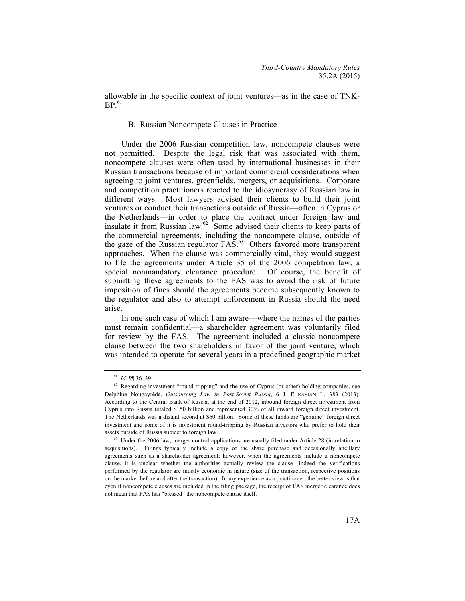allowable in the specific context of joint ventures—as in the case of TNK- $BP<sup>61</sup>$ 

### B. Russian Noncompete Clauses in Practice

Under the 2006 Russian competition law, noncompete clauses were not permitted. Despite the legal risk that was associated with them, noncompete clauses were often used by international businesses in their Russian transactions because of important commercial considerations when agreeing to joint ventures, greenfields, mergers, or acquisitions. Corporate and competition practitioners reacted to the idiosyncrasy of Russian law in different ways. Most lawyers advised their clients to build their joint ventures or conduct their transactions outside of Russia—often in Cyprus or the Netherlands—in order to place the contract under foreign law and insulate it from Russian law.<sup>62</sup> Some advised their clients to keep parts of the commercial agreements, including the noncompete clause, outside of the gaze of the Russian regulator FAS.63 Others favored more transparent approaches. When the clause was commercially vital, they would suggest to file the agreements under Article 35 of the 2006 competition law, a special nonmandatory clearance procedure. Of course, the benefit of submitting these agreements to the FAS was to avoid the risk of future imposition of fines should the agreements become subsequently known to the regulator and also to attempt enforcement in Russia should the need arise.

In one such case of which I am aware—where the names of the parties must remain confidential—a shareholder agreement was voluntarily filed for review by the FAS. The agreement included a classic noncompete clause between the two shareholders in favor of the joint venture, which was intended to operate for several years in a predefined geographic market

<sup>&</sup>lt;sup>61</sup> *Id.*  $\P$   $\P$  36–39.<br><sup>62</sup> Regarding investment "round-tripping" and the use of Cyprus (or other) holding companies, see Delphine Nougayrède, *Outsourcing Law in Post-Soviet Russia*, 6 J. EURASIAN L. 383 (2013). According to the Central Bank of Russia, at the end of 2012, inbound foreign direct investment from Cyprus into Russia totaled \$150 billion and represented 30% of all inward foreign direct investment. The Netherlands was a distant second at \$60 billion. Some of these funds are "genuine" foreign direct investment and some of it is investment round-tripping by Russian investors who prefer to hold their assets outside of Russia subject to foreign law.

<sup>&</sup>lt;sup>63</sup> Under the 2006 law, merger control applications are usually filed under Article 28 (in relation to acquisitions). Filings typically include a copy of the share purchase and occasionally ancillary agreements such as a shareholder agreement; however, when the agreements include a noncompete clause, it is unclear whether the authorities actually review the clause—indeed the verifications performed by the regulator are mostly economic in nature (size of the transaction, respective positions on the market before and after the transaction). In my experience as a practitioner, the better view is that even if noncompete clauses are included in the filing package, the receipt of FAS merger clearance does not mean that FAS has "blessed" the noncompete clause itself.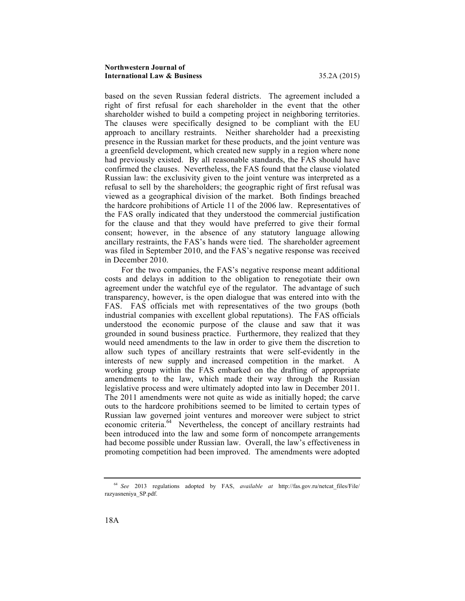#### **Northwestern Journal of International Law & Business** 35.2A (2015)

based on the seven Russian federal districts. The agreement included a right of first refusal for each shareholder in the event that the other shareholder wished to build a competing project in neighboring territories. The clauses were specifically designed to be compliant with the EU approach to ancillary restraints. Neither shareholder had a preexisting presence in the Russian market for these products, and the joint venture was a greenfield development, which created new supply in a region where none had previously existed. By all reasonable standards, the FAS should have confirmed the clauses. Nevertheless, the FAS found that the clause violated Russian law: the exclusivity given to the joint venture was interpreted as a refusal to sell by the shareholders; the geographic right of first refusal was viewed as a geographical division of the market. Both findings breached the hardcore prohibitions of Article 11 of the 2006 law. Representatives of the FAS orally indicated that they understood the commercial justification for the clause and that they would have preferred to give their formal consent; however, in the absence of any statutory language allowing ancillary restraints, the FAS's hands were tied. The shareholder agreement was filed in September 2010, and the FAS's negative response was received in December 2010.

For the two companies, the FAS's negative response meant additional costs and delays in addition to the obligation to renegotiate their own agreement under the watchful eye of the regulator. The advantage of such transparency, however, is the open dialogue that was entered into with the FAS. FAS officials met with representatives of the two groups (both industrial companies with excellent global reputations). The FAS officials understood the economic purpose of the clause and saw that it was grounded in sound business practice. Furthermore, they realized that they would need amendments to the law in order to give them the discretion to allow such types of ancillary restraints that were self-evidently in the interests of new supply and increased competition in the market. A working group within the FAS embarked on the drafting of appropriate amendments to the law, which made their way through the Russian legislative process and were ultimately adopted into law in December 2011. The 2011 amendments were not quite as wide as initially hoped; the carve outs to the hardcore prohibitions seemed to be limited to certain types of Russian law governed joint ventures and moreover were subject to strict economic criteria.<sup>64</sup> Nevertheless, the concept of ancillary restraints had been introduced into the law and some form of noncompete arrangements had become possible under Russian law. Overall, the law's effectiveness in promoting competition had been improved. The amendments were adopted

<sup>&</sup>lt;sup>64</sup> See 2013 regulations adopted by FAS, *available at* http://fas.gov.ru/netcat files/File/ razyasneniya\_SP.pdf.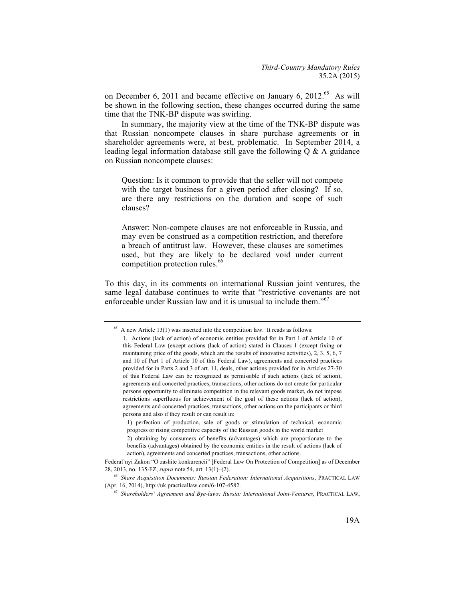on December 6, 2011 and became effective on January 6, 2012.<sup>65</sup> As will be shown in the following section, these changes occurred during the same time that the TNK-BP dispute was swirling.

In summary, the majority view at the time of the TNK-BP dispute was that Russian noncompete clauses in share purchase agreements or in shareholder agreements were, at best, problematic. In September 2014, a leading legal information database still gave the following Q & A guidance on Russian noncompete clauses:

Question: Is it common to provide that the seller will not compete with the target business for a given period after closing? If so, are there any restrictions on the duration and scope of such clauses?

Answer: Non-compete clauses are not enforceable in Russia, and may even be construed as a competition restriction, and therefore a breach of antitrust law. However, these clauses are sometimes used, but they are likely to be declared void under current competition protection rules.<sup>66</sup>

To this day, in its comments on international Russian joint ventures, the same legal database continues to write that "restrictive covenants are not enforceable under Russian law and it is unusual to include them."<sup>67</sup>

 $65$  A new Article 13(1) was inserted into the competition law. It reads as follows:

<sup>1.</sup> Actions (lack of action) of economic entities provided for in Part 1 of Article 10 of this Federal Law (except actions (lack of action) stated in Clauses 1 (except fixing or maintaining price of the goods, which are the results of innovative activities), 2, 3, 5, 6, 7 and 10 of Part 1 of Article 10 of this Federal Law), agreements and concerted practices provided for in Parts 2 and 3 of art. 11, deals, other actions provided for in Articles 27-30 of this Federal Law can be recognized as permissible if such actions (lack of action), agreements and concerted practices, transactions, other actions do not create for particular persons opportunity to eliminate competition in the relevant goods market, do not impose restrictions superfluous for achievement of the goal of these actions (lack of action), agreements and concerted practices, transactions, other actions on the participants or third persons and also if they result or can result in:

<sup>1)</sup> perfection of production, sale of goods or stimulation of technical, economic progress or rising competitive capacity of the Russian goods in the world market

<sup>2)</sup> obtaining by consumers of benefits (advantages) which are proportionate to the benefits (advantages) obtained by the economic entities in the result of actions (lack of action), agreements and concerted practices, transactions, other actions.

Federal'nyi Zakon "O zashite konkurencii" [Federal Law On Protection of Competition] as of December 28, 2013, no. 135-FZ, *supra* note 54, art. 13(1)–(2). 66 *Share Acquisition Documents: Russian Federation: International Acquisitions*, PRACTICAL LAW

<sup>(</sup>Apr. 16, 2014), http://uk.practicallaw.com/6-107-4582.

<sup>67</sup> *Shareholders' Agreement and Bye-laws: Russia: International Joint-Ventures*, PRACTICAL LAW,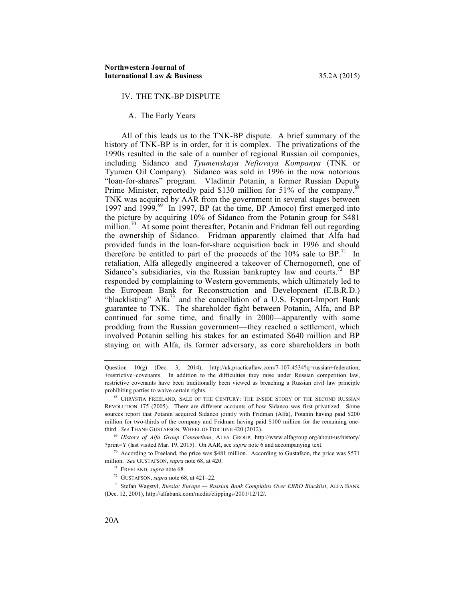#### IV. THE TNK-BP DISPUTE

#### A. The Early Years

All of this leads us to the TNK-BP dispute. A brief summary of the history of TNK-BP is in order, for it is complex. The privatizations of the 1990s resulted in the sale of a number of regional Russian oil companies, including Sidanco and *Tyumenskaya Neftovaya Kompanya* (TNK or Tyumen Oil Company). Sidanco was sold in 1996 in the now notorious "loan-for-shares" program. Vladimir Potanin, a former Russian Deputy Prime Minister, reportedly paid \$130 million for 51% of the company.<sup>6</sup> TNK was acquired by AAR from the government in several stages between 1997 and 1999.<sup>69</sup> In 1997, BP (at the time, BP Amoco) first emerged into the picture by acquiring 10% of Sidanco from the Potanin group for \$481 million.<sup>70</sup> At some point thereafter, Potanin and Fridman fell out regarding the ownership of Sidanco. Fridman apparently claimed that Alfa had provided funds in the loan-for-share acquisition back in 1996 and should therefore be entitled to part of the proceeds of the  $10\%$  sale to BP.<sup>71</sup> In retaliation, Alfa allegedly engineered a takeover of Chernogorneft, one of Sidanco's subsidiaries, via the Russian bankruptcy law and courts.<sup>72</sup> BP responded by complaining to Western governments, which ultimately led to the European Bank for Reconstruction and Development (E.B.R.D.) "blacklisting" Alfa<sup>73</sup> and the cancellation of a U.S. Export-Import Bank guarantee to TNK. The shareholder fight between Potanin, Alfa, and BP continued for some time, and finally in 2000—apparently with some prodding from the Russian government—they reached a settlement, which involved Potanin selling his stakes for an estimated \$640 million and BP staying on with Alfa, its former adversary, as core shareholders in both

<sup>69</sup> *History of Alfa Group Consortium*, ALFA GROUP, http://www.alfagroup.org/about-us/history/ ?print=Y (last visited Mar. 19, 2015). On AAR, see *supra* note 6 and accompanying text.

 $70$  According to Freeland, the price was \$481 million. According to Gustafson, the price was \$571 million. *See* GUSTAFSON, *supra* note 68, at 420.

<sup>73</sup> Stefan Wagstyl, *Russia: Europe — Russian Bank Complains Over EBRD Blacklist*, ALFA BANK (Dec. 12, 2001), http://alfabank.com/media/clippings/2001/12/12/.

Question 10(g) (Dec. 3, 2014), http://uk.practicallaw.com/7-107-4534?q=russian+federation, +restrictive+covenants. In addition to the difficulties they raise under Russian competition law, restrictive covenants have been traditionally been viewed as breaching a Russian civil law principle prohibiting parties to waive certain rights.

<sup>68</sup> CHRYSTIA FREELAND, SALE OF THE CENTURY: THE INSIDE STORY OF THE SECOND RUSSIAN REVOLUTION 175 (2005). There are different accounts of how Sidanco was first privatized. Some sources report that Potanin acquired Sidanco jointly with Fridman (Alfa), Potanin having paid \$200 million for two-thirds of the company and Fridman having paid \$100 million for the remaining onethird. *See* THANE GUSTAFSON, WHEEL OF FORTUNE 420 (2012).

<sup>71</sup> FREELAND, *supra* note 68.

<sup>72</sup> GUSTAFSON, *supra* note 68, at 421–22.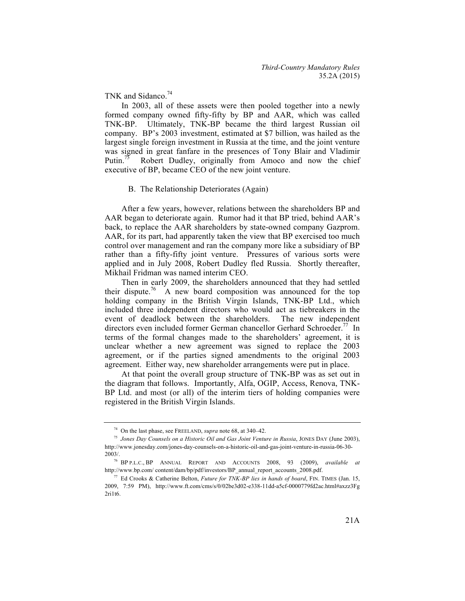TNK and Sidanco.<sup>74</sup>

In 2003, all of these assets were then pooled together into a newly formed company owned fifty-fifty by BP and AAR, which was called TNK-BP. Ultimately, TNK-BP became the third largest Russian oil company. BP's 2003 investment, estimated at \$7 billion, was hailed as the largest single foreign investment in Russia at the time, and the joint venture was signed in great fanfare in the presences of Tony Blair and Vladimir Putin.<sup>75</sup> Robert Dudley, originally from Amoco and now the chief executive of BP, became CEO of the new joint venture.

#### B. The Relationship Deteriorates (Again)

After a few years, however, relations between the shareholders BP and AAR began to deteriorate again. Rumor had it that BP tried, behind AAR's back, to replace the AAR shareholders by state-owned company Gazprom. AAR, for its part, had apparently taken the view that BP exercised too much control over management and ran the company more like a subsidiary of BP rather than a fifty-fifty joint venture. Pressures of various sorts were applied and in July 2008, Robert Dudley fled Russia. Shortly thereafter, Mikhail Fridman was named interim CEO.

Then in early 2009, the shareholders announced that they had settled their dispute.<sup>76</sup> A new board composition was announced for the top holding company in the British Virgin Islands, TNK-BP Ltd., which included three independent directors who would act as tiebreakers in the event of deadlock between the shareholders. The new independent directors even included former German chancellor Gerhard Schroeder.<sup>77</sup> In terms of the formal changes made to the shareholders' agreement, it is unclear whether a new agreement was signed to replace the 2003 agreement, or if the parties signed amendments to the original 2003 agreement. Either way, new shareholder arrangements were put in place.

At that point the overall group structure of TNK-BP was as set out in the diagram that follows. Importantly, Alfa, OGIP, Access, Renova, TNK-BP Ltd. and most (or all) of the interim tiers of holding companies were registered in the British Virgin Islands.

<sup>74</sup> On the last phase, see FREELAND, *supra* note 68, at 340–42.

<sup>75</sup> *Jones Day Counsels on a Historic Oil and Gas Joint Venture in Russia*, JONES DAY (June 2003), http://www.jonesday.com/jones-day-counsels-on-a-historic-oil-and-gas-joint-venture-in-russia-06-30- 2003/.

<sup>76</sup> BP P.L.C., BP ANNUAL REPORT AND ACCOUNTS 2008, 93 (2009), *available at* http://www.bp.com/ content/dam/bp/pdf/investors/BP\_annual\_report\_accounts\_2008.pdf.

<sup>77</sup> Ed Crooks & Catherine Belton, *Future for TNK-BP lies in hands of board*, FIN. TIMES (Jan. 15, 2009, 7:59 PM), http://www.ft.com/cms/s/0/02be3d02-e338-11dd-a5cf-0000779fd2ac.html#axzz3Fg 2ri1t6.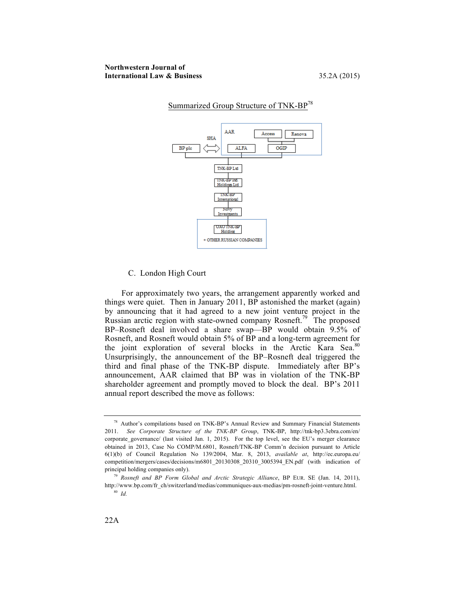

# Summarized Group Structure of TNK-BP<sup>78</sup>

#### C. London High Court

For approximately two years, the arrangement apparently worked and things were quiet. Then in January 2011, BP astonished the market (again) by announcing that it had agreed to a new joint venture project in the Russian arctic region with state-owned company Rosneft.<sup>79</sup> The proposed BP–Rosneft deal involved a share swap—BP would obtain 9.5% of Rosneft, and Rosneft would obtain 5% of BP and a long-term agreement for the joint exploration of several blocks in the Arctic Kara Sea.<sup>80</sup> Unsurprisingly, the announcement of the BP–Rosneft deal triggered the third and final phase of the TNK-BP dispute. Immediately after BP's announcement, AAR claimed that BP was in violation of the TNK-BP shareholder agreement and promptly moved to block the deal. BP's 2011 annual report described the move as follows:

<sup>78</sup> Author's compilations based on TNK-BP's Annual Review and Summary Financial Statements 2011. *See Corporate Structure of the TNK-BP Group*, TNK-BP, http://tnk-bp3.3ebra.com/en/ corporate governance/ (last visited Jan. 1, 2015). For the top level, see the EU's merger clearance obtained in 2013, Case No COMP/M.6801, Rosneft/TNK-BP Comm'n decision pursuant to Article 6(1)(b) of Council Regulation No 139/2004, Mar. 8, 2013, *available at*, http://ec.europa.eu/ competition/mergers/cases/decisions/m6801\_20130308\_20310\_3005394\_EN.pdf (with indication of principal holding companies only).

<sup>79</sup> *Rosneft and BP Form Global and Arctic Strategic Alliance*, BP EUR. SE (Jan. 14, 2011), http://www.bp.com/fr\_ch/switzerland/medias/communiques-aux-medias/pm-rosneft-joint-venture.html. <sup>80</sup> *Id.*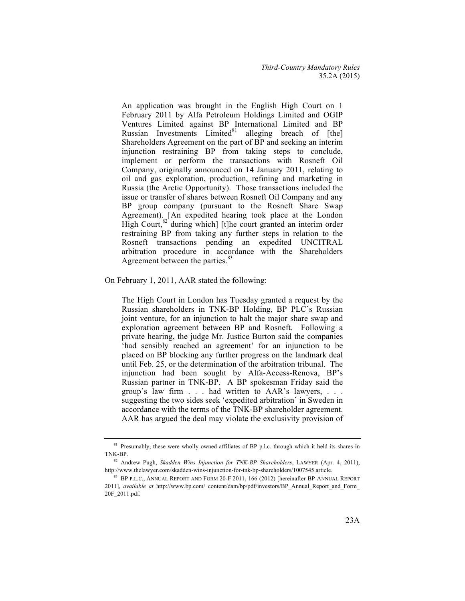An application was brought in the English High Court on 1 February 2011 by Alfa Petroleum Holdings Limited and OGIP Ventures Limited against BP International Limited and BP Russian Investments Limited $81$  alleging breach of [the] Shareholders Agreement on the part of BP and seeking an interim injunction restraining BP from taking steps to conclude, implement or perform the transactions with Rosneft Oil Company, originally announced on 14 January 2011, relating to oil and gas exploration, production, refining and marketing in Russia (the Arctic Opportunity). Those transactions included the issue or transfer of shares between Rosneft Oil Company and any BP group company (pursuant to the Rosneft Share Swap Agreement). [An expedited hearing took place at the London High Court,<sup>82</sup> during which] [t]he court granted an interim order restraining BP from taking any further steps in relation to the Rosneft transactions pending an expedited UNCITRAL arbitration procedure in accordance with the Shareholders Agreement between the parties.<sup>83</sup>

On February 1, 2011, AAR stated the following:

The High Court in London has Tuesday granted a request by the Russian shareholders in TNK-BP Holding, BP PLC's Russian joint venture, for an injunction to halt the major share swap and exploration agreement between BP and Rosneft. Following a private hearing, the judge Mr. Justice Burton said the companies 'had sensibly reached an agreement' for an injunction to be placed on BP blocking any further progress on the landmark deal until Feb. 25, or the determination of the arbitration tribunal. The injunction had been sought by Alfa-Access-Renova, BP's Russian partner in TNK-BP. A BP spokesman Friday said the group's law firm . . . had written to AAR's lawyers, . . . suggesting the two sides seek 'expedited arbitration' in Sweden in accordance with the terms of the TNK-BP shareholder agreement. AAR has argued the deal may violate the exclusivity provision of

<sup>&</sup>lt;sup>81</sup> Presumably, these were wholly owned affiliates of BP p.l.c. through which it held its shares in TNK-BP.

<sup>82</sup> Andrew Pugh, *Skadden Wins Injunction for TNK-BP Shareholders*, LAWYER (Apr. 4, 2011), http://www.thelawyer.com/skadden-wins-injunction-for-tnk-bp-shareholders/1007545.article.

<sup>&</sup>lt;sup>83</sup> BP P.L.C., ANNUAL REPORT AND FORM 20-F 2011, 166 (2012) [hereinafter BP ANNUAL REPORT 2011], *available at* http://www.bp.com/ content/dam/bp/pdf/investors/BP\_Annual\_Report\_and\_Form\_ 20F\_2011.pdf.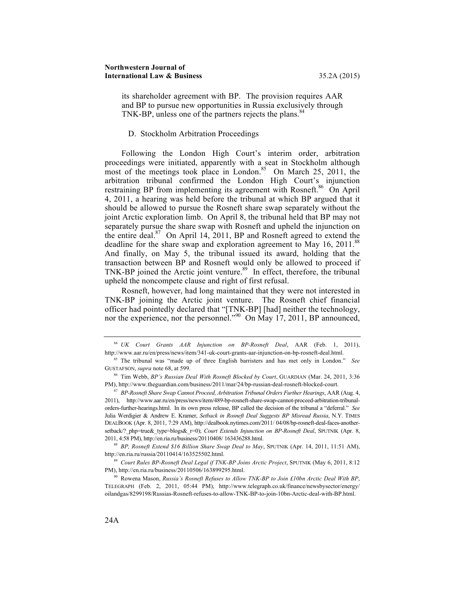its shareholder agreement with BP. The provision requires AAR and BP to pursue new opportunities in Russia exclusively through TNK-BP, unless one of the partners rejects the plans.<sup>84</sup>

### D. Stockholm Arbitration Proceedings

Following the London High Court's interim order, arbitration proceedings were initiated, apparently with a seat in Stockholm although most of the meetings took place in London.<sup>85</sup> On March 25, 2011, the arbitration tribunal confirmed the London High Court's injunction restraining BP from implementing its agreement with Rosneft.<sup>86</sup> On April 4, 2011, a hearing was held before the tribunal at which BP argued that it should be allowed to pursue the Rosneft share swap separately without the joint Arctic exploration limb. On April 8, the tribunal held that BP may not separately pursue the share swap with Rosneft and upheld the injunction on the entire deal. $87$  On April 14, 2011, BP and Rosneft agreed to extend the deadline for the share swap and exploration agreement to May 16, 2011.<sup>88</sup> And finally, on May 5, the tribunal issued its award, holding that the transaction between BP and Rosneft would only be allowed to proceed if TNK-BP joined the Arctic joint venture.<sup>89</sup> In effect, therefore, the tribunal upheld the noncompete clause and right of first refusal.

Rosneft, however, had long maintained that they were not interested in TNK-BP joining the Arctic joint venture. The Rosneft chief financial officer had pointedly declared that "[TNK-BP] [had] neither the technology, nor the experience, nor the personnel."<sup>90</sup> On May 17, 2011, BP announced,

<sup>88</sup> *BP, Rosneft Extend \$16 Billion Share Swap Deal to May*, SPUTNIK (Apr. 14, 2011, 11:51 AM), http://en.ria.ru/russia/20110414/163525502.html.

<sup>89</sup> *Court Rules BP-Rosneft Deal Legal if TNK-BP Joins Arctic Project*, SPUTNIK (May 6, 2011, 8:12 PM), http://en.ria.ru/business/20110506/163899295.html.

<sup>90</sup> Rowena Mason, *Russia's Rosneft Refuses to Allow TNK-BP to Join £10bn Arctic Deal With BP*, TELEGRAPH (Feb. 2, 2011, 05:44 PM), http://www.telegraph.co.uk/finance/newsbysector/energy/ oilandgas/8299198/Russias-Rosneft-refuses-to-allow-TNK-BP-to-join-10bn-Arctic-deal-with-BP.html.

<sup>84</sup> *UK Court Grants AAR Injunction on BP-Rosneft Deal*, AAR (Feb. 1, 2011), http://www.aar.ru/en/press/news/item/341-uk-court-grants-aar-injunction-on-bp-rosneft-deal.html.

<sup>85</sup> The tribunal was "made up of three English barristers and has met only in London." *See*  GUSTAFSON, *supra* note 68, at 599.

<sup>86</sup> Tim Webb, *BP's Russian Deal With Rosneft Blocked by Court*, GUARDIAN (Mar. 24, 2011, 3:36 PM), http://www.theguardian.com/business/2011/mar/24/bp-russian-deal-rosneft-blocked-court.

<sup>87</sup> *BP-Rosneft Share Swap Cannot Proceed, Arbitration Tribunal Orders Further Hearings*, AAR (Aug. 4, 2011), http://www.aar.ru/en/press/news/item/489-bp-rosneft-share-swap-cannot-proceed-arbitration-tribunalorders-further-hearings.html. In its own press release, BP called the decision of the tribunal a "deferral." *See*  Julia Werdigier & Andrew E. Kramer, *Setback in Rosneft Deal Suggests BP Misread Russia*, N.Y. TIMES DEALBOOK (Apr. 8, 2011, 7:29 AM), http://dealbook.nytimes.com/2011/ 04/08/bp-rosneft-deal-faces-anothersetback/? php=true&\_type=blogs&\_r=0); *Court Extends Injunction on BP-Rosneft Deal*, SPUTNIK (Apr. 8, 2011, 4:58 PM), http://en.ria.ru/business/20110408/ 163436288.html.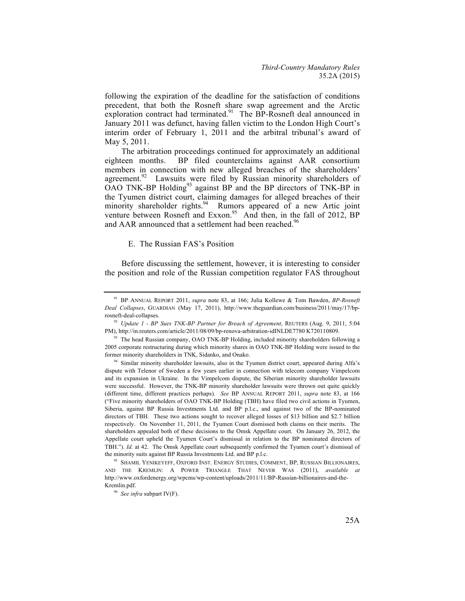following the expiration of the deadline for the satisfaction of conditions precedent, that both the Rosneft share swap agreement and the Arctic exploration contract had terminated.<sup>91</sup> The BP-Rosneft deal announced in January 2011 was defunct, having fallen victim to the London High Court's interim order of February 1, 2011 and the arbitral tribunal's award of May 5, 2011.

The arbitration proceedings continued for approximately an additional eighteen months. BP filed counterclaims against AAR consortium members in connection with new alleged breaches of the shareholders' agreement. $92$  Lawsuits were filed by Russian minority shareholders of OAO TNK-BP Holding<sup>93</sup> against BP and the BP directors of TNK-BP in the Tyumen district court, claiming damages for alleged breaches of their minority shareholder rights.<sup>94</sup> Rumors appeared of a new Artic joint venture between Rosneft and Exxon.<sup>95</sup> And then, in the fall of 2012, BP and AAR announced that a settlement had been reached.<sup>96</sup>

### E. The Russian FAS's Position

Before discussing the settlement, however, it is interesting to consider the position and role of the Russian competition regulator FAS throughout

<sup>91</sup> BP ANNUAL REPORT 2011, *supra* note 83, at 166; Julia Kollewe & Tom Bawden, *BP-Rosneft Deal Collapses*, GUARDIAN (May 17, 2011), http://www.theguardian.com/business/2011/may/17/bprosneft-deal-collapses.

<sup>92</sup> *Update 1 - BP Sues TNK-BP Partner for Breach of Agreement*, REUTERS (Aug. 9, 2011, 5:04 PM), http://in.reuters.com/article/2011/08/09/bp-renova-arbitration-idINLDE7780 K720110809. 93 The head Russian company, OAO TNK-BP Holding, included minority shareholders following a

<sup>2005</sup> corporate restructuring during which minority shares in OAO TNK-BP Holding were issued to the former minority shareholders in TNK, Sidanko, and Onako.

<sup>&</sup>lt;sup>94</sup> Similar minority shareholder lawsuits, also in the Tyumen district court, appeared during Alfa's dispute with Telenor of Sweden a few years earlier in connection with telecom company Vimpelcom and its expansion in Ukraine. In the Vimpelcom dispute, the Siberian minority shareholder lawsuits were successful. However, the TNK-BP minority shareholder lawsuits were thrown out quite quickly (different time, different practices perhaps). *See* BP ANNUAL REPORT 2011, *supra* note 83, at 166 ("Five minority shareholders of OAO TNK-BP Holding (TBH) have filed two civil actions in Tyumen, Siberia, against BP Russia Investments Ltd. and BP p.l.c., and against two of the BP-nominated directors of TBH. These two actions sought to recover alleged losses of \$13 billion and \$2.7 billion respectively. On November 11, 2011, the Tyumen Court dismissed both claims on their merits. The shareholders appealed both of these decisions to the Omsk Appellate court. On January 26, 2012, the Appellate court upheld the Tyumen Court's dismissal in relation to the BP nominated directors of TBH."). *Id.* at 42. The Omsk Appellate court subsequently confirmed the Tyumen court's dismissal of the minority suits against BP Russia Investments Ltd. and BP p.l.c.

<sup>95</sup> SHAMIL YENIKEYEFF, OXFORD INST. ENERGY STUDIES, COMMENT, BP, RUSSIAN BILLIONAIRES, AND THE KREMLIN: A POWER TRIANGLE THAT NEVER WAS (2011), *available at*  http://www.oxfordenergy.org/wpcms/wp-content/uploads/2011/11/BP-Russian-billionaires-and-the-Kremlin.pdf.

<sup>96</sup> *See infra* subpart IV(F).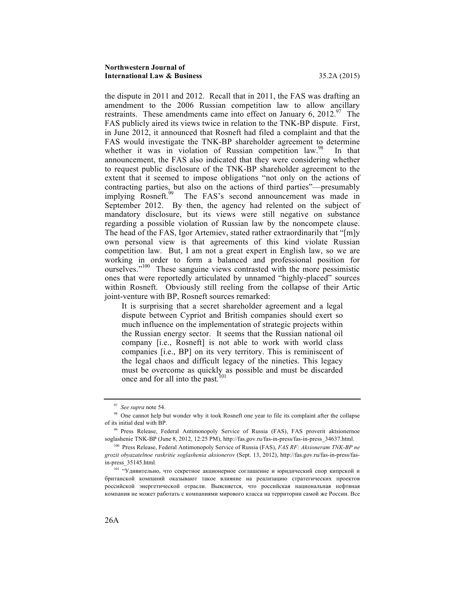#### **Northwestern Journal of International Law & Business** 35.2A (2015)

the dispute in 2011 and 2012. Recall that in 2011, the FAS was drafting an amendment to the 2006 Russian competition law to allow ancillary restraints. These amendments came into effect on January 6,  $2012.^{97}$  The FAS publicly aired its views twice in relation to the TNK-BP dispute. First, in June 2012, it announced that Rosneft had filed a complaint and that the FAS would investigate the TNK-BP shareholder agreement to determine whether it was in violation of Russian competition  $\text{law}^{98}$  In that announcement, the FAS also indicated that they were considering whether to request public disclosure of the TNK-BP shareholder agreement to the extent that it seemed to impose obligations "not only on the actions of contracting parties, but also on the actions of third parties"—presumably implying Rosneft.<sup>99</sup> The FAS's second announcement was made in September 2012. By then, the agency had relented on the subject of mandatory disclosure, but its views were still negative on substance regarding a possible violation of Russian law by the noncompete clause. The head of the FAS, Igor Artemiev, stated rather extraordinarily that "[m]y own personal view is that agreements of this kind violate Russian competition law. But, I am not a great expert in English law, so we are working in order to form a balanced and professional position for ourselves."<sup>100</sup> These sanguine views contrasted with the more pessimistic ones that were reportedly articulated by unnamed "highly-placed" sources within Rosneft. Obviously still reeling from the collapse of their Artic joint-venture with BP, Rosneft sources remarked:

It is surprising that a secret shareholder agreement and a legal dispute between Cypriot and British companies should exert so much influence on the implementation of strategic projects within the Russian energy sector. It seems that the Russian national oil company [i.e., Rosneft] is not able to work with world class companies [i.e., BP] on its very territory. This is reminiscent of the legal chaos and difficult legacy of the nineties. This legacy must be overcome as quickly as possible and must be discarded once and for all into the past*.* 101

<sup>97</sup> *See supra* note 54.

<sup>&</sup>lt;sup>98</sup> One cannot help but wonder why it took Rosneft one year to file its complaint after the collapse of its initial deal with BP.

<sup>&</sup>lt;sup>99</sup> Press Release, Federal Antimonopoly Service of Russia (FAS), FAS proverit aktsionernoe soglashenie TNK-BP (June 8, 2012, 12:25 PM), http://fas.gov.ru/fas-in-press/fas-in-press\_34637.html.

<sup>100</sup> Press Release, Federal Antimonopoly Service of Russia (FAS), *FAS RF: Aksioneram TNK-BP ne grozit obyazatelnoe raskritie soglashenia aksionerov* (Sept. 13, 2012), http://fas.gov.ru/fas-in-press/fasin-press\_35145.html.

<sup>101</sup> "Удивительно, что секретное акционерное соглашение и юридический спор кипрской и британской компаний оказывают такое влияние на реализацию стратегических проектов российской энергетической отрасли. Выясняется, что российская национальная нефтяная компания не может работать с компаниями мирового класса на территории самой же России. Все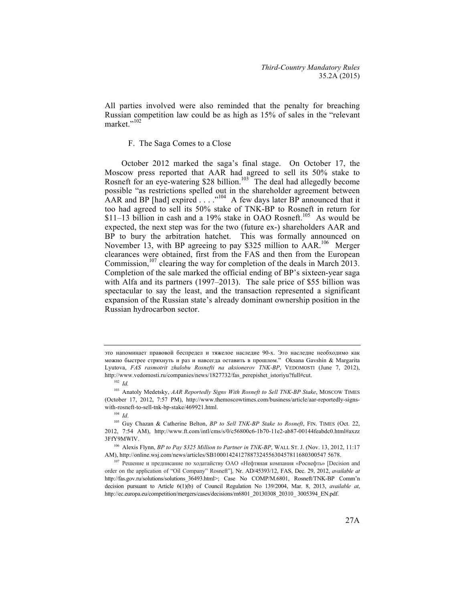All parties involved were also reminded that the penalty for breaching Russian competition law could be as high as 15% of sales in the "relevant market."<sup>102</sup>

# F. The Saga Comes to a Close

October 2012 marked the saga's final stage. On October 17, the Moscow press reported that AAR had agreed to sell its 50% stake to Rosneft for an eye-watering \$28 billion.<sup>103</sup> The deal had allegedly become possible "as restrictions spelled out in the shareholder agreement between AAR and BP [had] expired  $\ldots$  ...  $^{104}$  A few days later BP announced that it too had agreed to sell its 50% stake of TNK-BP to Rosneft in return for \$11–13 billion in cash and a 19% stake in OAO Rosneft.<sup>105</sup> As would be expected, the next step was for the two (future ex-) shareholders AAR and BP to bury the arbitration hatchet. This was formally announced on November 13, with BP agreeing to pay \$325 million to AAR.<sup>106</sup> Merger clearances were obtained, first from the FAS and then from the European Commission,  $107$  clearing the way for completion of the deals in March 2013. Completion of the sale marked the official ending of BP's sixteen-year saga with Alfa and its partners (1997–2013). The sale price of \$55 billion was spectacular to say the least, and the transaction represented a significant expansion of the Russian state's already dominant ownership position in the Russian hydrocarbon sector.

это напоминает правовой беспредел и тяжелое наследие 90-х. Это наследие необходимо как можно быстрее стряхнуть и раз и навсегда оставить в прошлом." Oksana Gavshin & Margarita Lyutova, *FAS rasmotrit zhalobu Rosnefti na aksionerov TNK-BP*, VEDOMOSTI (June 7, 2012), http://www.vedomosti.ru/companies/news/1827732/fas\_perepishet\_istoriyu?full#cut.

<sup>102</sup> *Id.*

<sup>103</sup> Anatoly Medetsky, *AAR Reportedly Signs With Rosneft to Sell TNK-BP Stake*, MOSCOW TIMES (October 17, 2012, 7:57 PM), http://www.themoscowtimes.com/business/article/aar-reportedly-signswith-rosneft-to-sell-tnk-bp-stake/469921.html. 104 *Id*.

<sup>&</sup>lt;sup>105</sup> Guy Chazan & Catherine Belton, *BP to Sell TNK-BP Stake to Rosneft*, FIN. TIMES (Oct. 22, 2012, 7:54 AM), http://www.ft.com/intl/cms/s/0/c56800c6-1b70-11e2-ab87-00144feabdc0.html#axzz 3FfY9MWlV.

<sup>106</sup> Alexis Flynn, *BP to Pay \$325 Million to Partner in TNK-BP*, WALL ST. J. (Nov. 13, 2012, 11:17 AM), http://online.wsj.com/news/articles/SB1000142412788732455630457811680300547 5678.

<sup>107</sup> Решение и предписание по ходатайству ОАО «Нефтяная компания «Роснефть» [Decision and order on the application of "Oil Company" Rosneft"], Nr. AD/45393/12, FAS, Dec. 29, 2012, *available at* http://fas.gov.ru/solutions/solutions 36493.html>; Case No COMP/M.6801, Rosneft/TNK-BP Comm'n decision pursuant to Article 6(1)(b) of Council Regulation No 139/2004, Mar. 8, 2013, *available at*, http://ec.europa.eu/competition/mergers/cases/decisions/m6801\_20130308\_20310\_ 3005394\_EN.pdf.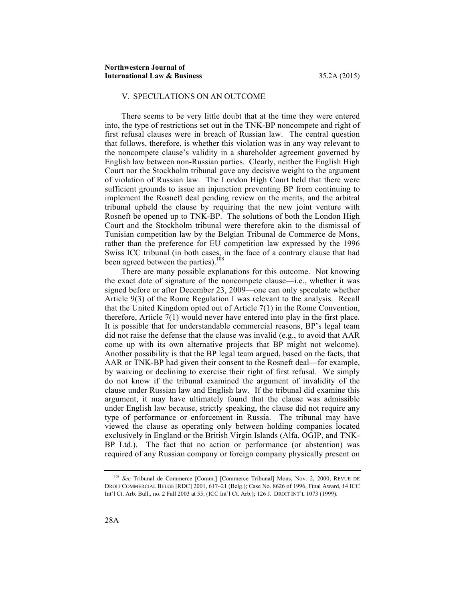# V. SPECULATIONS ON AN OUTCOME

There seems to be very little doubt that at the time they were entered into, the type of restrictions set out in the TNK-BP noncompete and right of first refusal clauses were in breach of Russian law. The central question that follows, therefore, is whether this violation was in any way relevant to the noncompete clause's validity in a shareholder agreement governed by English law between non-Russian parties. Clearly, neither the English High Court nor the Stockholm tribunal gave any decisive weight to the argument of violation of Russian law. The London High Court held that there were sufficient grounds to issue an injunction preventing BP from continuing to implement the Rosneft deal pending review on the merits, and the arbitral tribunal upheld the clause by requiring that the new joint venture with Rosneft be opened up to TNK-BP. The solutions of both the London High Court and the Stockholm tribunal were therefore akin to the dismissal of Tunisian competition law by the Belgian Tribunal de Commerce de Mons, rather than the preference for EU competition law expressed by the 1996 Swiss ICC tribunal (in both cases, in the face of a contrary clause that had been agreed between the parties).<sup>108</sup>

There are many possible explanations for this outcome. Not knowing the exact date of signature of the noncompete clause—i.e., whether it was signed before or after December 23, 2009—one can only speculate whether Article 9(3) of the Rome Regulation I was relevant to the analysis. Recall that the United Kingdom opted out of Article 7(1) in the Rome Convention, therefore, Article 7(1) would never have entered into play in the first place. It is possible that for understandable commercial reasons, BP's legal team did not raise the defense that the clause was invalid (e.g., to avoid that AAR come up with its own alternative projects that BP might not welcome). Another possibility is that the BP legal team argued, based on the facts, that AAR or TNK-BP had given their consent to the Rosneft deal—for example, by waiving or declining to exercise their right of first refusal. We simply do not know if the tribunal examined the argument of invalidity of the clause under Russian law and English law. If the tribunal did examine this argument, it may have ultimately found that the clause was admissible under English law because, strictly speaking, the clause did not require any type of performance or enforcement in Russia. The tribunal may have viewed the clause as operating only between holding companies located exclusively in England or the British Virgin Islands (Alfa, OGIP, and TNK-BP Ltd.). The fact that no action or performance (or abstention) was required of any Russian company or foreign company physically present on

<sup>108</sup> *See* Tribunal de Commerce [Comm.] [Commerce Tribunal] Mons, Nov. 2, 2000, REVUE DE DROIT COMMERCIAL BELGE [RDC] 2001, 617–21 (Belg.); Case No. 8626 of 1996, Final Award, 14 ICC Int'l Ct. Arb. Bull., no. 2 Fall 2003 at 55, (ICC Int'l Ct. Arb.); 126 J. DROIT INT'L 1073 (1999).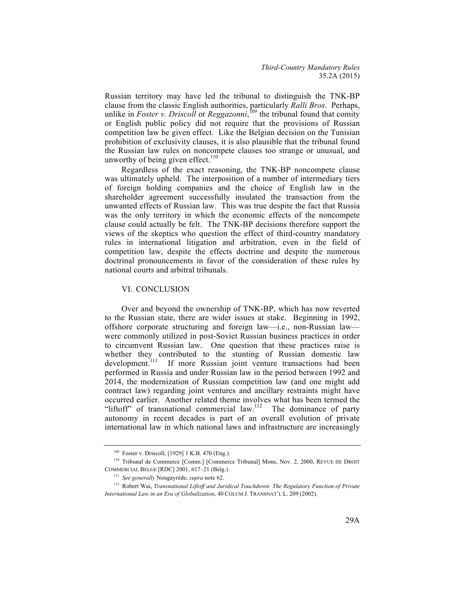Russian territory may have led the tribunal to distinguish the TNK-BP clause from the classic English authorities, particularly *Ralli Bros*. Perhaps, unlike in *Foster v. Driscoll* or *Reggazonni*, <sup>109</sup> the tribunal found that comity or English public policy did not require that the provisions of Russian competition law be given effect. Like the Belgian decision on the Tunisian prohibition of exclusivity clauses, it is also plausible that the tribunal found the Russian law rules on noncompete clauses too strange or unusual, and unworthy of being given effect. $110$ 

Regardless of the exact reasoning, the TNK-BP noncompete clause was ultimately upheld. The interposition of a number of intermediary tiers of foreign holding companies and the choice of English law in the shareholder agreement successfully insulated the transaction from the unwanted effects of Russian law. This was true despite the fact that Russia was the only territory in which the economic effects of the noncompete clause could actually be felt. The TNK-BP decisions therefore support the views of the skeptics who question the effect of third-country mandatory rules in international litigation and arbitration, even in the field of competition law, despite the effects doctrine and despite the numerous doctrinal pronouncements in favor of the consideration of these rules by national courts and arbitral tribunals.

#### VI. CONCLUSION

Over and beyond the ownership of TNK-BP, which has now reverted to the Russian state, there are wider issues at stake. Beginning in 1992, offshore corporate structuring and foreign law—i.e., non-Russian law were commonly utilized in post-Soviet Russian business practices in order to circumvent Russian law. One question that these practices raise is whether they contributed to the stunting of Russian domestic law development.<sup>111</sup> If more Russian joint venture transactions had been If more Russian joint venture transactions had been performed in Russia and under Russian law in the period between 1992 and 2014, the modernization of Russian competition law (and one might add contract law) regarding joint ventures and ancillary restraints might have occurred earlier. Another related theme involves what has been termed the "liftoff" of transnational commercial law.<sup>112</sup> The dominance of party autonomy in recent decades is part of an overall evolution of private international law in which national laws and infrastructure are increasingly

<sup>109</sup> Foster v. Driscoll, [1929] 1 K.B. 470 (Eng.).

<sup>&</sup>lt;sup>110</sup> Tribunal de Commerce [Comm.] [Commerce Tribunal] Mons, Nov. 2, 2000, REVUE DE DROIT COMMERCIAL BELGE [RDC] 2001, 617–21 (Belg.).

<sup>111</sup> *See generally* Nougayrède, *supra* note 62.

<sup>112</sup> Robert Wai, *Transnational Liftoff and Juridical Touchdown: The Regulatory Function of Private International Law in an Era of Globalization*, 40 COLUM J. TRANSNAT'L L. 209 (2002).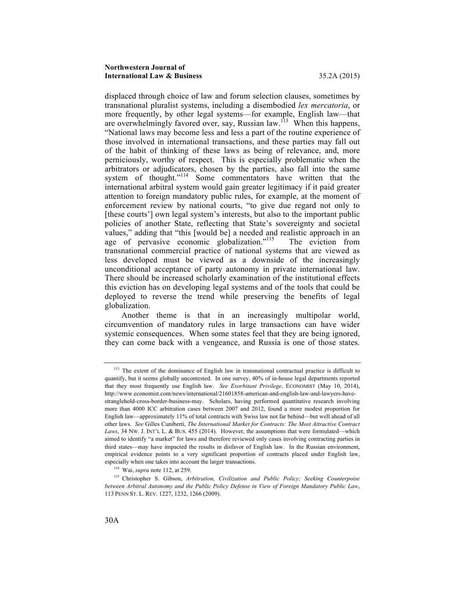#### **Northwestern Journal of International Law & Business** 35.2A (2015)

displaced through choice of law and forum selection clauses, sometimes by transnational pluralist systems, including a disembodied *lex mercatoria*, or more frequently, by other legal systems—for example, English law—that are overwhelmingly favored over, say, Russian law.<sup>113</sup> When this happens, "National laws may become less and less a part of the routine experience of those involved in international transactions, and these parties may fall out of the habit of thinking of these laws as being of relevance, and, more perniciously, worthy of respect. This is especially problematic when the arbitrators or adjudicators, chosen by the parties, also fall into the same system of thought."<sup>114</sup> Some commentators have written that the international arbitral system would gain greater legitimacy if it paid greater attention to foreign mandatory public rules, for example, at the moment of enforcement review by national courts, "to give due regard not only to [these courts'] own legal system's interests, but also to the important public policies of another State, reflecting that State's sovereignty and societal values," adding that "this [would be] a needed and realistic approach in an age of pervasive economic globalization."<sup>115</sup> The eviction from transnational commercial practice of national systems that are viewed as less developed must be viewed as a downside of the increasingly unconditional acceptance of party autonomy in private international law. There should be increased scholarly examination of the institutional effects this eviction has on developing legal systems and of the tools that could be deployed to reverse the trend while preserving the benefits of legal globalization.

Another theme is that in an increasingly multipolar world, circumvention of mandatory rules in large transactions can have wider systemic consequences. When some states feel that they are being ignored, they can come back with a vengeance, and Russia is one of those states.

<sup>&</sup>lt;sup>113</sup> The extent of the dominance of English law in transnational contractual practice is difficult to quantify, but it seems globally uncontested. In one survey, 40% of in-house legal departments reported that they most frequently use English law. *See Exorbitant Privilege*, ECONOMIST (May 10, 2014), http://www.economist.com/news/international/21601858-american-and-english-law-and-lawyers-havestranglehold-cross-border-business-may. Scholars, having performed quantitative research involving more than 4000 ICC arbitration cases between 2007 and 2012, found a more modest proportion for English law—approximately 11% of total contracts with Swiss law not far behind—but well ahead of all other laws. *See* Gilles Cuniberti, *The International Market for Contracts: The Most Attractive Contract*  Laws, 34 NW. J. INT'L L. & BUS. 455 (2014). However, the assumptions that were formulated—which aimed to identify "a market" for laws and therefore reviewed only cases involving contracting parties in third states—may have impacted the results in disfavor of English law. In the Russian environment, empirical evidence points to a very significant proportion of contracts placed under English law, especially when one takes into account the larger transactions.

<sup>114</sup> Wai, *supra* note 112, at 259.

<sup>115</sup> Christopher S. Gibson, *Arbitration, Civilization and Public Policy; Seeking Counterpoise between Arbitral Autonomy and the Public Policy Defense in View of Foreign Mandatory Public Law*, 113 PENN ST. L. REV. 1227, 1232, 1266 (2009).